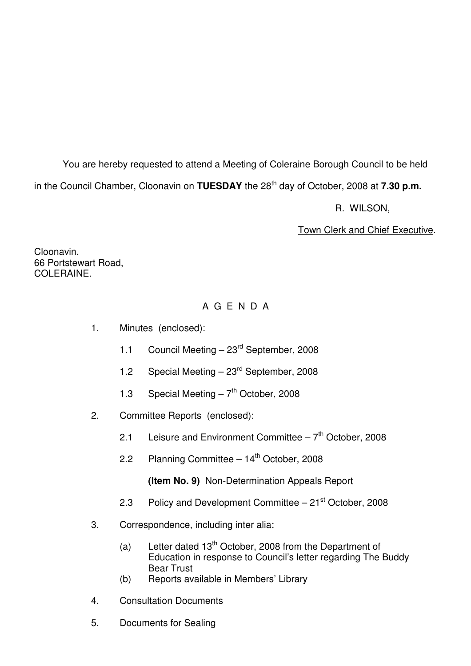You are hereby requested to attend a Meeting of Coleraine Borough Council to be held

in the Council Chamber, Cloonavin on **TUESDAY** the 28<sup>th</sup> day of October, 2008 at **7.30 p.m.** 

R. WILSON,

Town Clerk and Chief Executive.

Cloonavin, 66 Portstewart Road, COLERAINE.

# A G E N D A

- 1. Minutes (enclosed):
	- 1.1 Council Meeting 23<sup>rd</sup> September, 2008
	- 1.2 Special Meeting  $23<sup>rd</sup>$  September, 2008
	- 1.3 Special Meeting  $-7<sup>th</sup>$  October, 2008
- 2. Committee Reports (enclosed):
	- 2.1 Leisure and Environment Committee  $-7<sup>th</sup>$  October, 2008
	- 2.2 Planning Committee  $-14<sup>th</sup>$  October, 2008

**(Item No. 9)** Non-Determination Appeals Report

- 2.3 Policy and Development Committee 21<sup>st</sup> October, 2008
- 3. Correspondence, including inter alia:
	- (a) Letter dated  $13<sup>th</sup>$  October, 2008 from the Department of Education in response to Council's letter regarding The Buddy Bear Trust
	- (b) Reports available in Members' Library
- 4. Consultation Documents
- 5. Documents for Sealing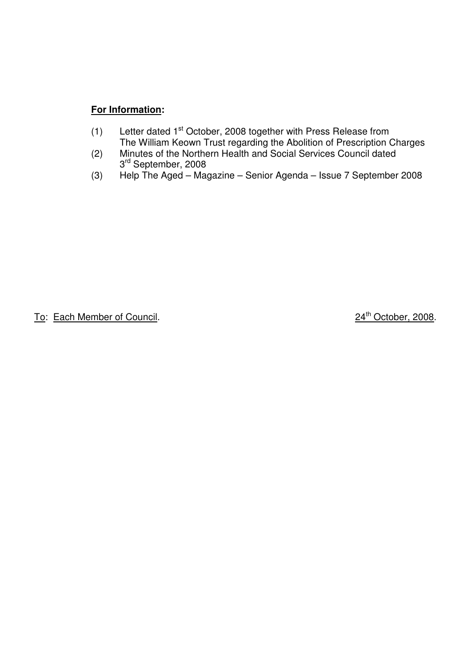# **For Information:**

- $(1)$  Letter dated 1<sup>st</sup> October, 2008 together with Press Release from The William Keown Trust regarding the Abolition of Prescription Charges
- (2) Minutes of the Northern Health and Social Services Council dated 3<sup>rd</sup> September, 2008
	- (3) Help The Aged Magazine Senior Agenda Issue 7 September 2008

To: Each Member of Council. 24<sup>th</sup> October, 2008.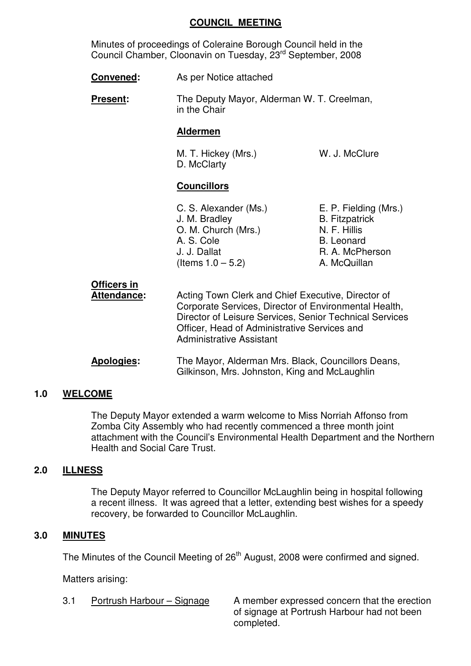#### **COUNCIL MEETING**

 Minutes of proceedings of Coleraine Borough Council held in the Council Chamber, Cloonavin on Tuesday, 23<sup>rd</sup> September, 2008

- **Convened:** As per Notice attached
- **Present:** The Deputy Mayor, Alderman W. T. Creelman, in the Chair

### **Aldermen**

M. T. Hickey (Mrs.) W. J. McClure D. McClarty

# **Councillors**

| C. S. Alexander (Ms.) | E. P. Fielding (Mrs.) |
|-----------------------|-----------------------|
| J. M. Bradley         | <b>B.</b> Fitzpatrick |
| O. M. Church (Mrs.)   | N. F. Hillis          |
| A. S. Cole            | <b>B.</b> Leonard     |
| J. J. Dallat          | R. A. McPherson       |
| (Items $1.0 - 5.2$ )  | A. McQuillan          |
|                       |                       |

| Officers in<br><b>Attendance:</b> | Acting Town Clerk and Chief Executive, Director of<br>Corporate Services, Director of Environmental Health,<br>Director of Leisure Services, Senior Technical Services<br>Officer, Head of Administrative Services and<br><b>Administrative Assistant</b> |
|-----------------------------------|-----------------------------------------------------------------------------------------------------------------------------------------------------------------------------------------------------------------------------------------------------------|
| <b>Apologies:</b>                 | The Mayor, Alderman Mrs. Black, Councillors Deans,<br>Gilkinson, Mrs. Johnston, King and McLaughlin                                                                                                                                                       |

# **1.0 WELCOME**

 The Deputy Mayor extended a warm welcome to Miss Norriah Affonso from Zomba City Assembly who had recently commenced a three month joint attachment with the Council's Environmental Health Department and the Northern Health and Social Care Trust.

# **2.0 ILLNESS**

 The Deputy Mayor referred to Councillor McLaughlin being in hospital following a recent illness. It was agreed that a letter, extending best wishes for a speedy recovery, be forwarded to Councillor McLaughlin.

# **3.0 MINUTES**

The Minutes of the Council Meeting of 26<sup>th</sup> August, 2008 were confirmed and signed.

Matters arising:

3.1 Portrush Harbour – Signage A member expressed concern that the erection of signage at Portrush Harbour had not been completed.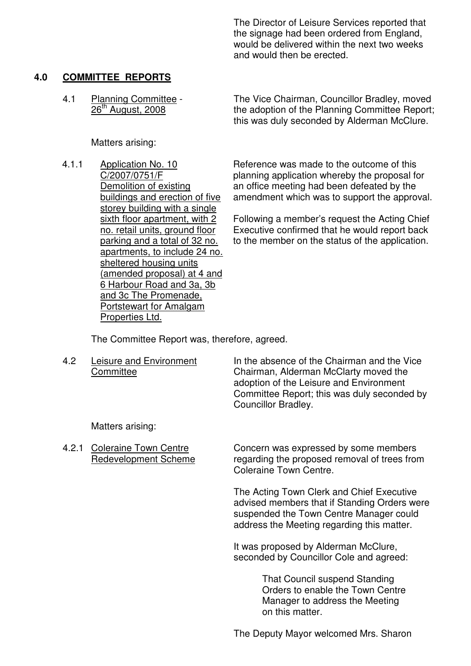The Director of Leisure Services reported that the signage had been ordered from England, would be delivered within the next two weeks and would then be erected.

### **4.0 COMMITTEE REPORTS**

Matters arising:

4.1.1 Application No. 10 C/2007/0751/F Demolition of existing buildings and erection of five storey building with a single sixth floor apartment, with 2 no. retail units, ground floor parking and a total of 32 no. apartments, to include 24 no. sheltered housing units (amended proposal) at 4 and 6 Harbour Road and 3a, 3b and 3c The Promenade, Portstewart for Amalgam Properties Ltd.

4.1 Planning Committee - The Vice Chairman, Councillor Bradley, moved<br>26<sup>th</sup> August, 2008 the adoption of the Planning Committee Report: the adoption of the Planning Committee Report; this was duly seconded by Alderman McClure.

> Reference was made to the outcome of this planning application whereby the proposal for an office meeting had been defeated by the amendment which was to support the approval.

> Following a member's request the Acting Chief Executive confirmed that he would report back to the member on the status of the application.

The Committee Report was, therefore, agreed.

4.2 Leisure and Environment In the absence of the Chairman and the Vice Committee Chairman, Alderman McClarty moved the adoption of the Leisure and Environment Committee Report; this was duly seconded by Councillor Bradley.

Matters arising:

 4.2.1 Coleraine Town Centre Concern was expressed by some members Redevelopment Scheme regarding the proposed removal of trees from Coleraine Town Centre.

> The Acting Town Clerk and Chief Executive advised members that if Standing Orders were suspended the Town Centre Manager could address the Meeting regarding this matter.

 It was proposed by Alderman McClure, seconded by Councillor Cole and agreed:

> That Council suspend Standing Orders to enable the Town Centre Manager to address the Meeting on this matter.

The Deputy Mayor welcomed Mrs. Sharon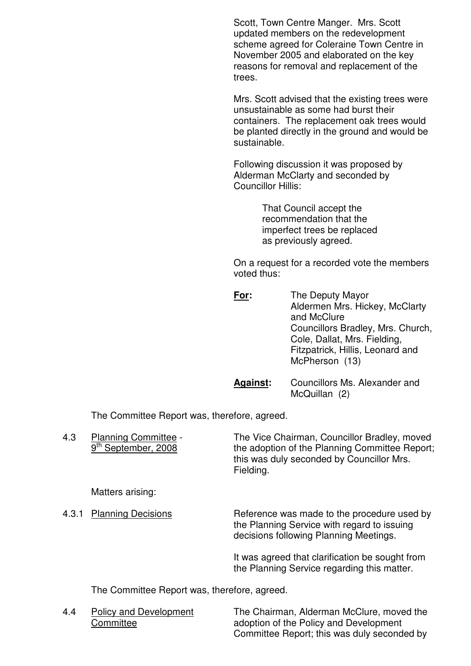Scott, Town Centre Manger. Mrs. Scott updated members on the redevelopment scheme agreed for Coleraine Town Centre in November 2005 and elaborated on the key reasons for removal and replacement of the trees.

> Mrs. Scott advised that the existing trees were unsustainable as some had burst their containers. The replacement oak trees would be planted directly in the ground and would be sustainable.

 Following discussion it was proposed by Alderman McClarty and seconded by Councillor Hillis:

> That Council accept the recommendation that the imperfect trees be replaced as previously agreed.

 On a request for a recorded vote the members voted thus:

| <u>For:</u> | The Deputy Mayor<br>Aldermen Mrs. Hickey, McClarty<br>and McClure<br>Councillors Bradley, Mrs. Church,<br>Cole, Dallat, Mrs. Fielding,<br>Fitzpatrick, Hillis, Leonard and<br>McPherson (13) |
|-------------|----------------------------------------------------------------------------------------------------------------------------------------------------------------------------------------------|
|             |                                                                                                                                                                                              |

 **Against:** Councillors Ms. Alexander and McQuillan (2)

The Committee Report was, therefore, agreed.

| 4.3   | <b>Planning Committee -</b><br>September, 2008 | The Vice Chairman, Councillor Bradley, moved<br>the adoption of the Planning Committee Report;<br>this was duly seconded by Councillor Mrs.<br>Fielding. |
|-------|------------------------------------------------|----------------------------------------------------------------------------------------------------------------------------------------------------------|
|       | Matters arising:                               |                                                                                                                                                          |
| 4.3.1 | <b>Planning Decisions</b>                      | Reference was made to the procedure used by<br>the Planning Service with regard to issuing<br>decisions following Planning Meetings.                     |
|       |                                                | It was agreed that clarification be sought from<br>the Planning Service regarding this matter.                                                           |

The Committee Report was, therefore, agreed.

 4.4 Policy and Development The Chairman, Alderman McClure, moved the Committee adoption of the Policy and Development Committee Report; this was duly seconded by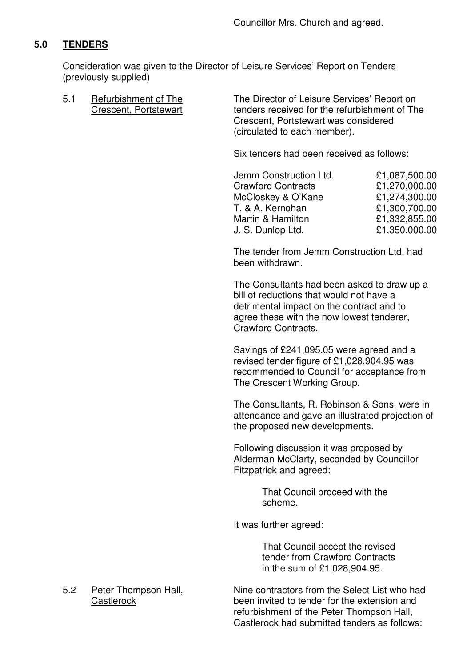# **5.0 TENDERS**

Consideration was given to the Director of Leisure Services' Report on Tenders (previously supplied)

5.1 Befurbishment of The The The Director of Leisure Services' Report on<br>Crescent. Portstewart enders received for the refurbishment of Th tenders received for the refurbishment of The Crescent, Portstewart was considered (circulated to each member).

Six tenders had been received as follows:

| Jemm Construction Ltd.    | £1,087,500.00 |
|---------------------------|---------------|
| <b>Crawford Contracts</b> | £1,270,000.00 |
| McCloskey & O'Kane        | £1,274,300.00 |
| T. & A. Kernohan          | £1,300,700.00 |
| Martin & Hamilton         | £1,332,855.00 |
| J. S. Dunlop Ltd.         | £1,350,000.00 |

 The tender from Jemm Construction Ltd. had been withdrawn.

 The Consultants had been asked to draw up a bill of reductions that would not have a detrimental impact on the contract and to agree these with the now lowest tenderer, Crawford Contracts.

 Savings of £241,095.05 were agreed and a revised tender figure of £1,028,904.95 was recommended to Council for acceptance from The Crescent Working Group.

 The Consultants, R. Robinson & Sons, were in attendance and gave an illustrated projection of the proposed new developments.

 Following discussion it was proposed by Alderman McClarty, seconded by Councillor Fitzpatrick and agreed:

> That Council proceed with the scheme.

It was further agreed:

 That Council accept the revised tender from Crawford Contracts in the sum of £1,028,904.95.

5.2 Peter Thompson Hall, Nine contractors from the Select List who had Castlerock been invited to tender for the extension and refurbishment of the Peter Thompson Hall, Castlerock had submitted tenders as follows: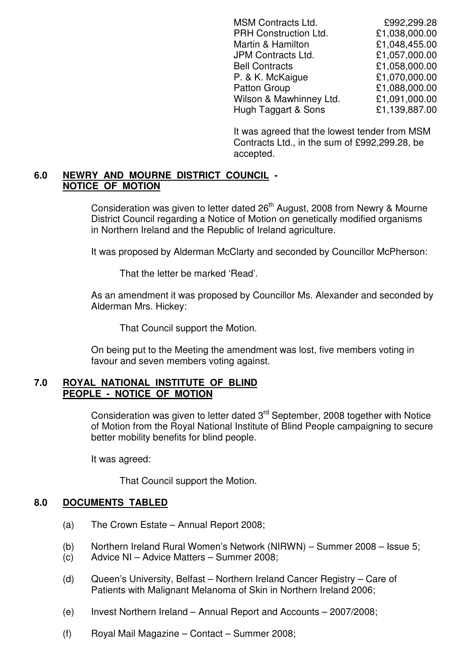| <b>MSM Contracts Ltd.</b> | £992,299.28   |
|---------------------------|---------------|
| PRH Construction Ltd.     | £1,038,000.00 |
| Martin & Hamilton         | £1,048,455.00 |
| JPM Contracts Ltd.        | £1,057,000.00 |
| <b>Bell Contracts</b>     | £1,058,000.00 |
| P. & K. McKaigue          | £1,070,000.00 |
| Patton Group              | £1,088,000.00 |
| Wilson & Mawhinney Ltd.   | £1,091,000.00 |
| Hugh Taggart & Sons       | £1,139,887.00 |
|                           |               |

 It was agreed that the lowest tender from MSM Contracts Ltd., in the sum of £992,299.28, be accepted.

#### **6.0 NEWRY AND MOURNE DISTRICT COUNCIL - NOTICE OF MOTION**

Consideration was given to letter dated 26<sup>th</sup> August, 2008 from Newry & Mourne District Council regarding a Notice of Motion on genetically modified organisms in Northern Ireland and the Republic of Ireland agriculture.

It was proposed by Alderman McClarty and seconded by Councillor McPherson:

That the letter be marked 'Read'.

 As an amendment it was proposed by Councillor Ms. Alexander and seconded by Alderman Mrs. Hickey:

That Council support the Motion.

 On being put to the Meeting the amendment was lost, five members voting in favour and seven members voting against.

#### **7.0 ROYAL NATIONAL INSTITUTE OF BLIND PEOPLE - NOTICE OF MOTION**

Consideration was given to letter dated 3<sup>rd</sup> September, 2008 together with Notice of Motion from the Royal National Institute of Blind People campaigning to secure better mobility benefits for blind people.

It was agreed:

That Council support the Motion.

# **8.0 DOCUMENTS TABLED**

- (a) The Crown Estate Annual Report 2008;
- (b) Northern Ireland Rural Women's Network (NIRWN) Summer 2008 Issue 5;
- (c) Advice NI Advice Matters Summer 2008;
- (d) Queen's University, Belfast Northern Ireland Cancer Registry Care of Patients with Malignant Melanoma of Skin in Northern Ireland 2006;
- (e) Invest Northern Ireland Annual Report and Accounts 2007/2008;
- (f) Royal Mail Magazine Contact Summer 2008;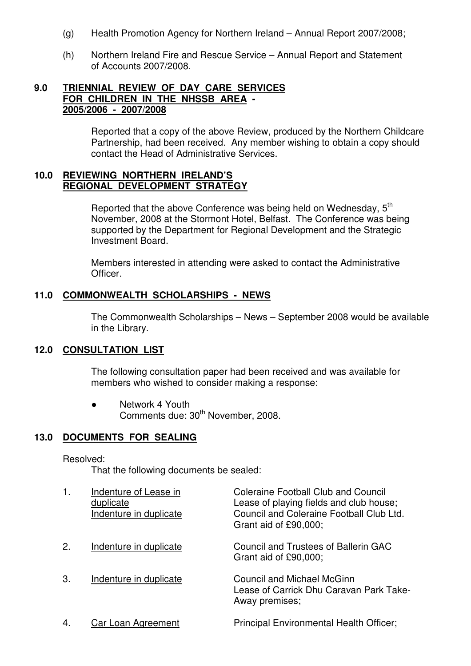- (g) Health Promotion Agency for Northern Ireland Annual Report 2007/2008;
- (h) Northern Ireland Fire and Rescue Service Annual Report and Statement of Accounts 2007/2008.

### **9.0 TRIENNIAL REVIEW OF DAY CARE SERVICES FOR CHILDREN IN THE NHSSB AREA - 2005/2006 - 2007/2008**

 Reported that a copy of the above Review, produced by the Northern Childcare Partnership, had been received. Any member wishing to obtain a copy should contact the Head of Administrative Services.

#### **10.0 REVIEWING NORTHERN IRELAND'S REGIONAL DEVELOPMENT STRATEGY**

Reported that the above Conference was being held on Wednesday, 5<sup>th</sup> November, 2008 at the Stormont Hotel, Belfast. The Conference was being supported by the Department for Regional Development and the Strategic Investment Board.

> Members interested in attending were asked to contact the Administrative Officer.

### **11.0 COMMONWEALTH SCHOLARSHIPS - NEWS**

The Commonwealth Scholarships – News – September 2008 would be available in the Library.

#### **12.0 CONSULTATION LIST**

 The following consultation paper had been received and was available for members who wished to consider making a response:

● Network 4 Youth Comments due: 30<sup>th</sup> November, 2008.

#### **13.0 DOCUMENTS FOR SEALING**

#### Resolved:

That the following documents be sealed:

|    | Indenture of Lease in<br>duplicate<br>Indenture in duplicate | <b>Coleraine Football Club and Council</b><br>Lease of playing fields and club house;<br>Council and Coleraine Football Club Ltd.<br>Grant aid of £90,000: |
|----|--------------------------------------------------------------|------------------------------------------------------------------------------------------------------------------------------------------------------------|
| 2. | Indenture in duplicate                                       | Council and Trustees of Ballerin GAC<br>Grant aid of £90,000;                                                                                              |
| 3. | Indenture in duplicate                                       | <b>Council and Michael McGinn</b><br>Lease of Carrick Dhu Caravan Park Take-<br>Away premises;                                                             |
| 4. | Car Loan Agreement                                           | Principal Environmental Health Officer;                                                                                                                    |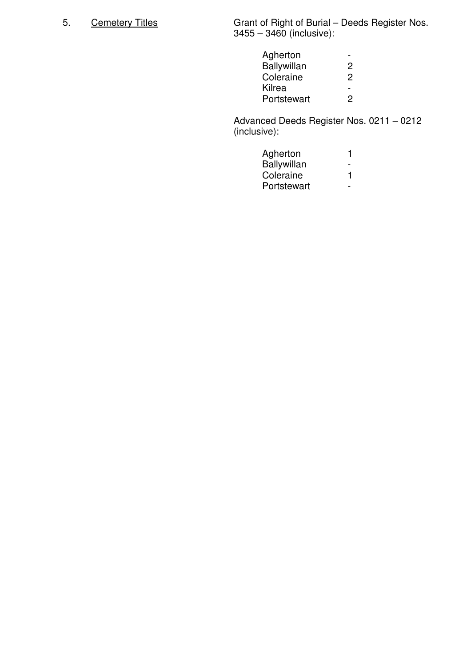5. Cemetery Titles Grant of Right of Burial – Deeds Register Nos.  $3455 - 3460$  (inclusive):

| Agherton    | $\overline{\phantom{0}}$ |
|-------------|--------------------------|
| Ballywillan | $\overline{2}$           |
| Coleraine   | $\overline{2}$           |
| Kilrea      | $\overline{\phantom{0}}$ |
| Portstewart | $\mathcal{P}$            |
|             |                          |

 Advanced Deeds Register Nos. 0211 – 0212 (inclusive):

| Agherton           |               |
|--------------------|---------------|
| <b>Ballywillan</b> | $\sim$ $\sim$ |
| Coleraine          |               |
| Portstewart        | $\sim$        |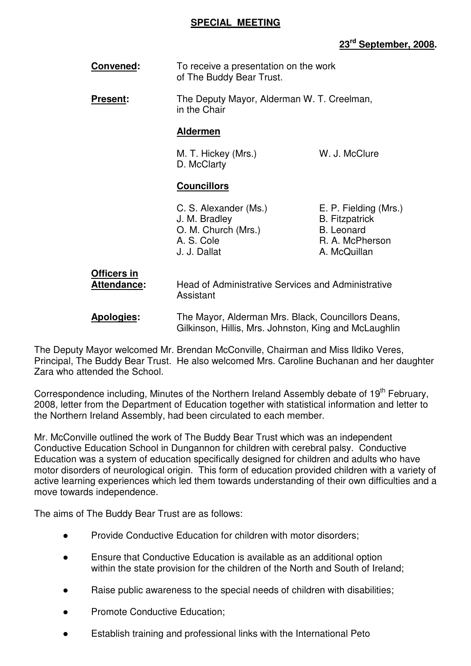### **SPECIAL MEETING**

# **23rd September, 2008.**

| Convened: | To receive a presentation on the work |
|-----------|---------------------------------------|
|           | of The Buddy Bear Trust.              |

 **Present:** The Deputy Mayor, Alderman W. T. Creelman, in the Chair

#### **Aldermen**

M. T. Hickey (Mrs.) W. J. McClure D. McClarty

# **Councillors**

 C. S. Alexander (Ms.) E. P. Fielding (Mrs.) J. M. Bradley B. Fitzpatrick O. M. Church (Mrs.) B. Leonard A. S. Cole **R. A. McPherson** J. J. Dallat A. McQuillan

# **Officers in**

 **Attendance:** Head of Administrative Services and Administrative Assistant

The Deputy Mayor welcomed Mr. Brendan McConville, Chairman and Miss Ildiko Veres, Principal, The Buddy Bear Trust. He also welcomed Mrs. Caroline Buchanan and her daughter Zara who attended the School.

Correspondence including, Minutes of the Northern Ireland Assembly debate of 19<sup>th</sup> February, 2008, letter from the Department of Education together with statistical information and letter to the Northern Ireland Assembly, had been circulated to each member.

Mr. McConville outlined the work of The Buddy Bear Trust which was an independent Conductive Education School in Dungannon for children with cerebral palsy. Conductive Education was a system of education specifically designed for children and adults who have motor disorders of neurological origin. This form of education provided children with a variety of active learning experiences which led them towards understanding of their own difficulties and a move towards independence.

The aims of The Buddy Bear Trust are as follows:

- Provide Conductive Education for children with motor disorders;
- Ensure that Conductive Education is available as an additional option within the state provision for the children of the North and South of Ireland;
- Raise public awareness to the special needs of children with disabilities;
- Promote Conductive Education;
- Establish training and professional links with the International Peto

**Apologies:** The Mayor, Alderman Mrs. Black, Councillors Deans, Gilkinson, Hillis, Mrs. Johnston, King and McLaughlin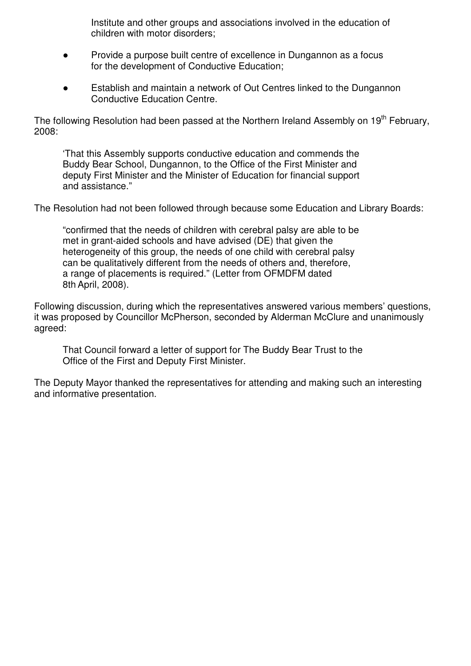Institute and other groups and associations involved in the education of children with motor disorders;

- Provide a purpose built centre of excellence in Dungannon as a focus for the development of Conductive Education;
- Establish and maintain a network of Out Centres linked to the Dungannon Conductive Education Centre.

The following Resolution had been passed at the Northern Ireland Assembly on 19<sup>th</sup> February, 2008:

 'That this Assembly supports conductive education and commends the Buddy Bear School, Dungannon, to the Office of the First Minister and deputy First Minister and the Minister of Education for financial support and assistance."

The Resolution had not been followed through because some Education and Library Boards:

 "confirmed that the needs of children with cerebral palsy are able to be met in grant-aided schools and have advised (DE) that given the heterogeneity of this group, the needs of one child with cerebral palsy can be qualitatively different from the needs of others and, therefore, a range of placements is required." (Letter from OFMDFM dated 8th April, 2008).

Following discussion, during which the representatives answered various members' questions, it was proposed by Councillor McPherson, seconded by Alderman McClure and unanimously agreed:

 That Council forward a letter of support for The Buddy Bear Trust to the Office of the First and Deputy First Minister.

The Deputy Mayor thanked the representatives for attending and making such an interesting and informative presentation.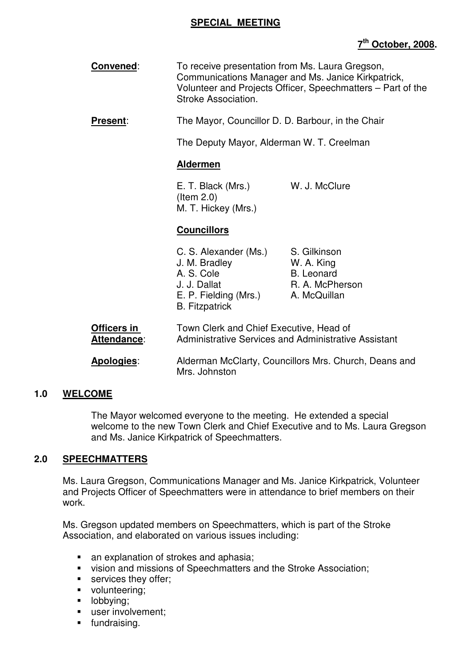#### **SPECIAL MEETING**

# **7 th October, 2008.**

- **Convened:** To receive presentation from Ms. Laura Gregson, Communications Manager and Ms. Janice Kirkpatrick, Volunteer and Projects Officer, Speechmatters – Part of the Stroke Association.
- **Present:** The Mayor, Councillor D. D. Barbour, in the Chair

The Deputy Mayor, Alderman W. T. Creelman

#### **Aldermen**

 E. T. Black (Mrs.) W. J. McClure (Item 2.0) M. T. Hickey (Mrs.)

# **Councillors**

| C. S. Alexander (Ms.) | S. Gilkinson      |
|-----------------------|-------------------|
| J. M. Bradley         | W. A. King        |
| A. S. Cole            | <b>B.</b> Leonard |
| J. J. Dallat          | R. A. McPherson   |
| E. P. Fielding (Mrs.) | A. McQuillan      |
| <b>B.</b> Fitzpatrick |                   |

| Officers in | Town Clerk and Chief Executive, Head of              |
|-------------|------------------------------------------------------|
| Attendance: | Administrative Services and Administrative Assistant |

**Apologies**: Alderman McClarty, Councillors Mrs. Church, Deans and Mrs. Johnston

# **1.0 WELCOME**

The Mayor welcomed everyone to the meeting. He extended a special welcome to the new Town Clerk and Chief Executive and to Ms. Laura Gregson and Ms. Janice Kirkpatrick of Speechmatters.

#### **2.0 SPEECHMATTERS**

 Ms. Laura Gregson, Communications Manager and Ms. Janice Kirkpatrick, Volunteer and Projects Officer of Speechmatters were in attendance to brief members on their work.

Ms. Gregson updated members on Speechmatters, which is part of the Stroke Association, and elaborated on various issues including:

- an explanation of strokes and aphasia;
- vision and missions of Speechmatters and the Stroke Association;
- **services they offer:**
- volunteering;
- **-** lobbying;
- user involvement;
- **fundraising.**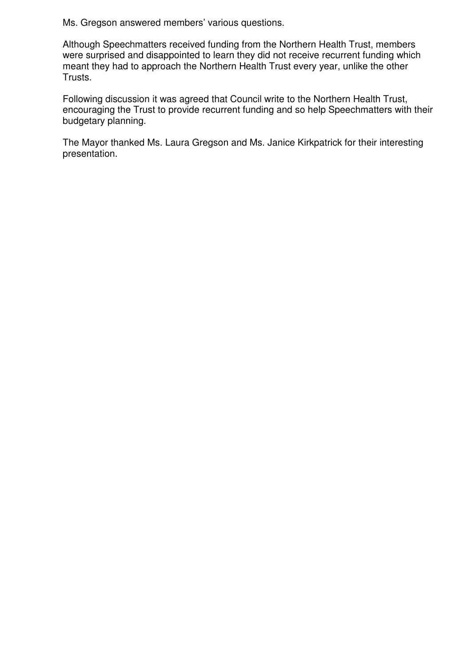Ms. Gregson answered members' various questions.

Although Speechmatters received funding from the Northern Health Trust, members were surprised and disappointed to learn they did not receive recurrent funding which meant they had to approach the Northern Health Trust every year, unlike the other Trusts.

Following discussion it was agreed that Council write to the Northern Health Trust, encouraging the Trust to provide recurrent funding and so help Speechmatters with their budgetary planning.

The Mayor thanked Ms. Laura Gregson and Ms. Janice Kirkpatrick for their interesting presentation.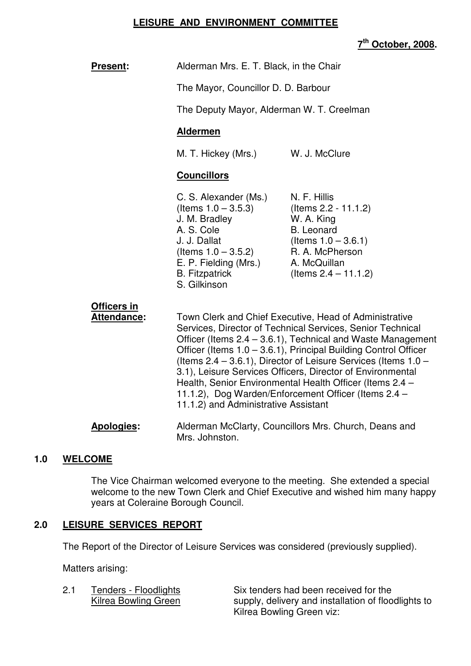#### **LEISURE AND ENVIRONMENT COMMITTEE**

**7 th October, 2008.** 

| <b>Present:</b>                   | Alderman Mrs. E. T. Black, in the Chair                                                                                                                                                                                                                                                                                                                                                                                                                                                                                                                 |                                                                                                                                                                 |
|-----------------------------------|---------------------------------------------------------------------------------------------------------------------------------------------------------------------------------------------------------------------------------------------------------------------------------------------------------------------------------------------------------------------------------------------------------------------------------------------------------------------------------------------------------------------------------------------------------|-----------------------------------------------------------------------------------------------------------------------------------------------------------------|
|                                   | The Mayor, Councillor D. D. Barbour                                                                                                                                                                                                                                                                                                                                                                                                                                                                                                                     |                                                                                                                                                                 |
|                                   | The Deputy Mayor, Alderman W. T. Creelman                                                                                                                                                                                                                                                                                                                                                                                                                                                                                                               |                                                                                                                                                                 |
|                                   | <b>Aldermen</b>                                                                                                                                                                                                                                                                                                                                                                                                                                                                                                                                         |                                                                                                                                                                 |
|                                   | M. T. Hickey (Mrs.)                                                                                                                                                                                                                                                                                                                                                                                                                                                                                                                                     | W. J. McClure                                                                                                                                                   |
|                                   | <b>Councillors</b>                                                                                                                                                                                                                                                                                                                                                                                                                                                                                                                                      |                                                                                                                                                                 |
|                                   | C. S. Alexander (Ms.)<br>(Items $1.0 - 3.5.3$ )<br>J. M. Bradley<br>A. S. Cole<br>J. J. Dallat<br>(Items $1.0 - 3.5.2$ )<br>E. P. Fielding (Mrs.)<br><b>B.</b> Fitzpatrick<br>S. Gilkinson                                                                                                                                                                                                                                                                                                                                                              | N. F. Hillis<br>(Items 2.2 - 11.1.2)<br>W. A. King<br><b>B.</b> Leonard<br>(Items $1.0 - 3.6.1$ )<br>R. A. McPherson<br>A. McQuillan<br>(Items $2.4 - 11.1.2$ ) |
| Officers in<br><b>Attendance:</b> | Town Clerk and Chief Executive, Head of Administrative<br>Services, Director of Technical Services, Senior Technical<br>Officer (Items 2.4 – 3.6.1), Technical and Waste Management<br>Officer (Items 1.0 – 3.6.1), Principal Building Control Officer<br>(Items $2.4 - 3.6.1$ ), Director of Leisure Services (Items $1.0 -$<br>3.1), Leisure Services Officers, Director of Environmental<br>Health, Senior Environmental Health Officer (Items 2.4 -<br>11.1.2), Dog Warden/Enforcement Officer (Items 2.4 -<br>11.1.2) and Administrative Assistant |                                                                                                                                                                 |
| <b>Apologies:</b>                 | Alderman McClarty, Councillors Mrs. Church, Deans and<br>Mrs. Johnston.                                                                                                                                                                                                                                                                                                                                                                                                                                                                                 |                                                                                                                                                                 |

# **1.0 WELCOME**

 The Vice Chairman welcomed everyone to the meeting. She extended a special welcome to the new Town Clerk and Chief Executive and wished him many happy years at Coleraine Borough Council.

# **2.0 LEISURE SERVICES REPORT**

The Report of the Director of Leisure Services was considered (previously supplied).

Matters arising:

2.1 Tenders - Floodlights Six tenders had been received for the<br>Kilrea Bowling Green supply, delivery and installation of floo supply, delivery and installation of floodlights to Kilrea Bowling Green viz: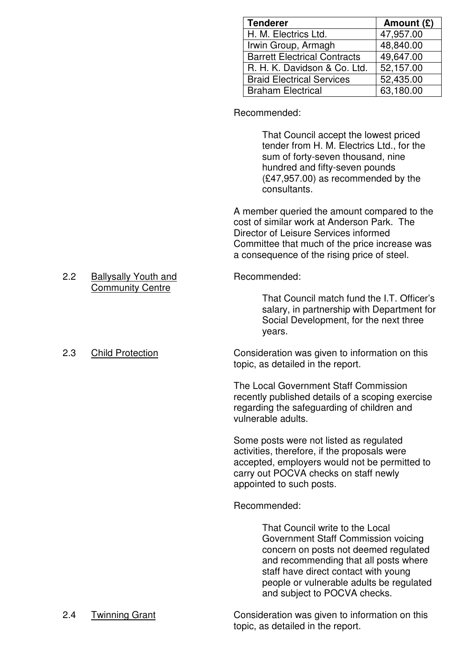| <b>Tenderer</b>                     | Amount (£) |
|-------------------------------------|------------|
| H. M. Electrics Ltd.                | 47,957.00  |
| Irwin Group, Armagh                 | 48,840.00  |
| <b>Barrett Electrical Contracts</b> | 49,647.00  |
| R. H. K. Davidson & Co. Ltd.        | 52,157.00  |
| <b>Braid Electrical Services</b>    | 52,435.00  |
| <b>Braham Electrical</b>            | 63,180.00  |

Recommended:

 That Council accept the lowest priced tender from H. M. Electrics Ltd., for the sum of forty-seven thousand, nine hundred and fifty-seven pounds (£47,957.00) as recommended by the consultants.

 A member queried the amount compared to the cost of similar work at Anderson Park. The Director of Leisure Services informed Committee that much of the price increase was a consequence of the rising price of steel.

 That Council match fund the I.T. Officer's salary, in partnership with Department for Social Development, for the next three years.

2.3 Child Protection Consideration was given to information on this topic, as detailed in the report.

> The Local Government Staff Commission recently published details of a scoping exercise regarding the safeguarding of children and vulnerable adults.

> Some posts were not listed as regulated activities, therefore, if the proposals were accepted, employers would not be permitted to carry out POCVA checks on staff newly appointed to such posts.

#### Recommended:

 That Council write to the Local Government Staff Commission voicing concern on posts not deemed regulated and recommending that all posts where staff have direct contact with young people or vulnerable adults be regulated and subject to POCVA checks.

#### 2.2 Ballysally Youth and Recommended: Community Centre

2.4 Twinning Grant Consideration was given to information on this topic, as detailed in the report.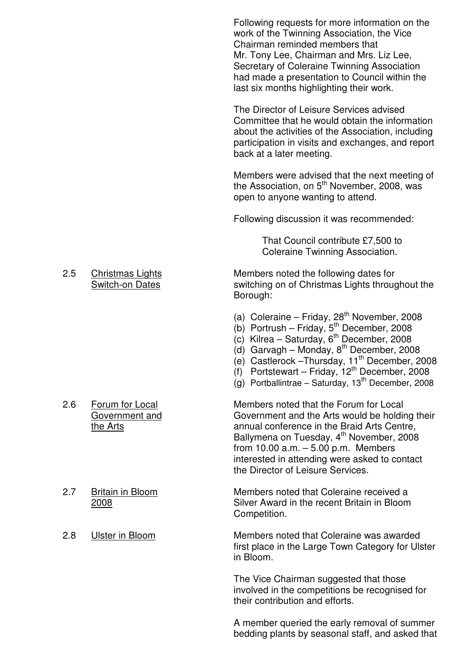Following requests for more information on the work of the Twinning Association, the Vice Chairman reminded members that Mr. Tony Lee, Chairman and Mrs. Liz Lee, Secretary of Coleraine Twinning Association had made a presentation to Council within the last six months highlighting their work.

 The Director of Leisure Services advised Committee that he would obtain the information about the activities of the Association, including participation in visits and exchanges, and report back at a later meeting.

 Members were advised that the next meeting of the Association, on  $5<sup>th</sup>$  November, 2008, was open to anyone wanting to attend.

Following discussion it was recommended:

 That Council contribute £7,500 to Coleraine Twinning Association.

2.5 Christmas Lights Members noted the following dates for Switch-on Dates switching on of Christmas Lights throughout the Borough:

- (a) Coleraine Friday,  $28<sup>th</sup>$  November, 2008
- (b) Portrush Friday,  $5^{\text{th}}$  December, 2008
- (c) Kilrea Saturday,  $6^{\text{th}}$  December, 2008
- (d) Garvagh Monday, 8th December, 2008
- (e) Castlerock Thursday, 11<sup>th</sup> December, 2008
- $(f)$  Portstewart Friday, 12<sup>th</sup> December, 2008
- $(q)$  Portballintrae Saturday, 13<sup>th</sup> December, 2008

2.6 Forum for Local Members noted that the Forum for Local Government and Government and the Arts would be holding their the Arts annual conference in the Braid Arts Centre, Ballymena on Tuesday, 4<sup>th</sup> November, 2008 from 10.00 a.m. – 5.00 p.m. Members interested in attending were asked to contact the Director of Leisure Services.

2.7 Britain in Bloom Members noted that Coleraine received a 2008 Silver Award in the recent Britain in Bloom Competition.

2.8 Ulster in Bloom Members noted that Coleraine was awarded first place in the Large Town Category for Ulster in Bloom.

> The Vice Chairman suggested that those involved in the competitions be recognised for their contribution and efforts.

 A member queried the early removal of summer bedding plants by seasonal staff, and asked that

- 
-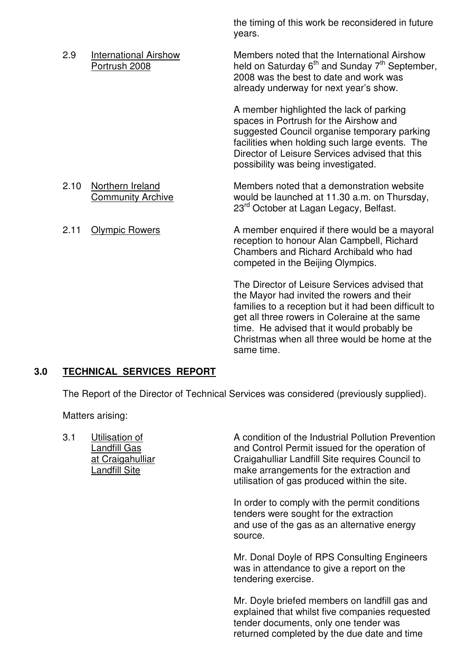the timing of this work be reconsidered in future years.

2.9 International Airshow Members noted that the International Airshow<br>Portrush 2008 **Meld on Saturday 6<sup>th</sup> and Sunday 7<sup>th</sup> Septembe** held on Saturday  $6<sup>th</sup>$  and Sunday 7<sup>th</sup> September, 2008 was the best to date and work was already underway for next year's show. A member highlighted the lack of parking spaces in Portrush for the Airshow and suggested Council organise temporary parking facilities when holding such large events. The Director of Leisure Services advised that this possibility was being investigated. 2.10 Northern Ireland Members noted that a demonstration website Community Archive would be launched at 11.30 a.m. on Thursday, 23<sup>rd</sup> October at Lagan Legacy, Belfast. 2.11 Olympic Rowers **A** member enquired if there would be a mayoral reception to honour Alan Campbell, Richard Chambers and Richard Archibald who had competed in the Beijing Olympics. The Director of Leisure Services advised that the Mayor had invited the rowers and their families to a reception but it had been difficult to get all three rowers in Coleraine at the same time. He advised that it would probably be Christmas when all three would be home at the

# **3.0 TECHNICAL SERVICES REPORT**

The Report of the Director of Technical Services was considered (previously supplied).

same time.

Matters arising:

3.1 Utilisation of **A** condition of the Industrial Pollution Prevention Landfill Gas **And Control Permit issued for the operation of**  at Craigahulliar Craigahulliar Landfill Site requires Council to Landfill Site make arrangements for the extraction and utilisation of gas produced within the site.

> In order to comply with the permit conditions tenders were sought for the extraction and use of the gas as an alternative energy source.

 Mr. Donal Doyle of RPS Consulting Engineers was in attendance to give a report on the tendering exercise.

 Mr. Doyle briefed members on landfill gas and explained that whilst five companies requested tender documents, only one tender was returned completed by the due date and time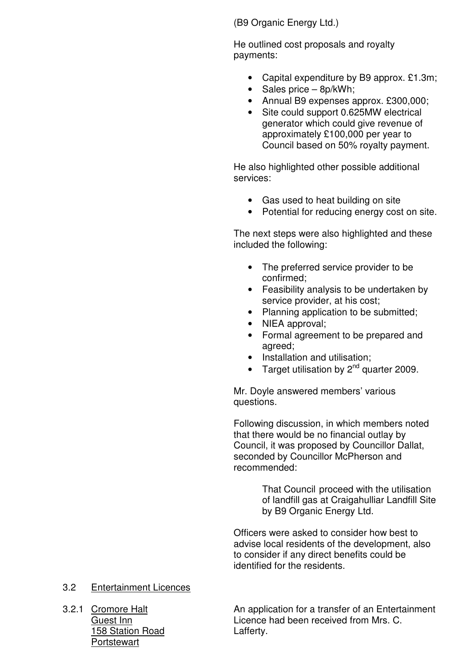(B9 Organic Energy Ltd.)

 He outlined cost proposals and royalty payments:

- Capital expenditure by B9 approx. £1.3m;
- Sales price 8p/kWh;
- Annual B9 expenses approx. £300,000;
- Site could support 0.625MW electrical generator which could give revenue of approximately £100,000 per year to Council based on 50% royalty payment.

He also highlighted other possible additional services:

- Gas used to heat building on site
- Potential for reducing energy cost on site.

 The next steps were also highlighted and these included the following:

- The preferred service provider to be confirmed;
- Feasibility analysis to be undertaken by service provider, at his cost;
- Planning application to be submitted;
- NIEA approval;
- Formal agreement to be prepared and agreed;
- Installation and utilisation;
- Target utilisation by  $2^{nd}$  quarter 2009.

 Mr. Doyle answered members' various questions.

 Following discussion, in which members noted that there would be no financial outlay by Council, it was proposed by Councillor Dallat, seconded by Councillor McPherson and recommended:

> That Council proceed with the utilisation of landfill gas at Craigahulliar Landfill Site by B9 Organic Energy Ltd.

 Officers were asked to consider how best to advise local residents of the development, also to consider if any direct benefits could be identified for the residents.

# 3.2 Entertainment Licences

158 Station Road Lafferty. **Portstewart** 

3.2.1 Cromore Halt An application for a transfer of an Entertainment Guest Inn **Communist Communist Communist Communist Communist Communist Communist Communist Communist Communist Communist Communist Communist Communist Communist Communist Communist Communist Communist Communist Communist C**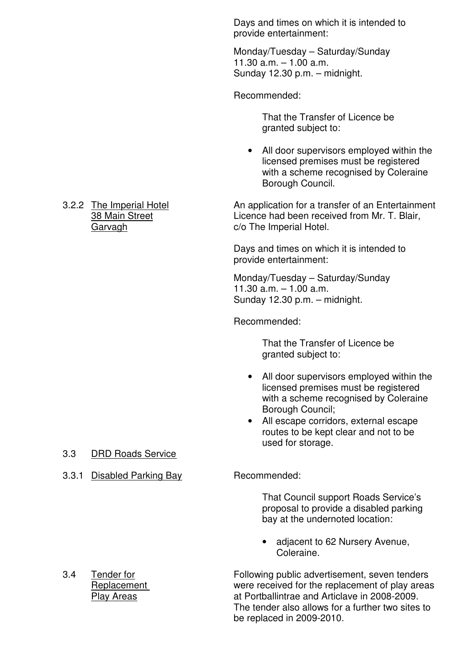Days and times on which it is intended to provide entertainment:

Monday/Tuesday – Saturday/Sunday 11.30 a.m. – 1.00 a.m. Sunday 12.30 p.m. – midnight.

Recommended:

 That the Transfer of Licence be granted subject to:

• All door supervisors employed within the licensed premises must be registered with a scheme recognised by Coleraine Borough Council.

3.2.2 The Imperial Hotel **An application for a transfer of an Entertainment** 38 Main Street **Licence had been received from Mr. T. Blair,** Garvagh **c/o** The Imperial Hotel.

> Days and times on which it is intended to provide entertainment:

Monday/Tuesday – Saturday/Sunday 11.30 a.m. – 1.00 a.m. Sunday 12.30 p.m. – midnight.

Recommended:

 That the Transfer of Licence be granted subject to:

- All door supervisors employed within the licensed premises must be registered with a scheme recognised by Coleraine Borough Council;
- All escape corridors, external escape routes to be kept clear and not to be used for storage.

 That Council support Roads Service's proposal to provide a disabled parking bay at the undernoted location:

• adjacent to 62 Nursery Avenue, Coleraine.

3.4 Tender for Following public advertisement, seven tenders Replacement were received for the replacement of play areas Play Areas at Portballintrae and Articlave in 2008-2009. The tender also allows for a further two sites to be replaced in 2009-2010.

- 3.3 DRD Roads Service
- 3.3.1 Disabled Parking Bay Recommended: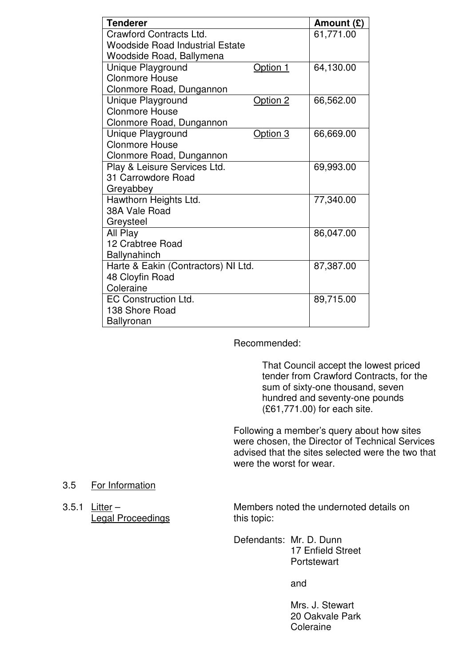| <b>Tenderer</b>                        |          | Amount $(E)$ |
|----------------------------------------|----------|--------------|
| Crawford Contracts Ltd.                |          | 61,771.00    |
| <b>Woodside Road Industrial Estate</b> |          |              |
| Woodside Road, Ballymena               |          |              |
| Unique Playground                      | Option 1 | 64,130.00    |
| <b>Clonmore House</b>                  |          |              |
| Clonmore Road, Dungannon               |          |              |
| Unique Playground                      | Option 2 | 66,562.00    |
| <b>Clonmore House</b>                  |          |              |
| Clonmore Road, Dungannon               |          |              |
| Unique Playground                      | Option 3 | 66,669.00    |
| <b>Clonmore House</b>                  |          |              |
| Clonmore Road, Dungannon               |          |              |
| Play & Leisure Services Ltd.           |          | 69,993.00    |
| 31 Carrowdore Road                     |          |              |
| Greyabbey                              |          |              |
| Hawthorn Heights Ltd.                  |          | 77,340.00    |
| 38A Vale Road                          |          |              |
| Greysteel                              |          |              |
| All Play                               |          | 86,047.00    |
| 12 Crabtree Road                       |          |              |
| <b>Ballynahinch</b>                    |          |              |
| Harte & Eakin (Contractors) NI Ltd.    |          | 87,387.00    |
| 48 Cloyfin Road                        |          |              |
| Coleraine                              |          |              |
| EC Construction Ltd.                   |          | 89,715.00    |
| 138 Shore Road                         |          |              |
| Ballyronan                             |          |              |

Recommended:

 That Council accept the lowest priced tender from Crawford Contracts, for the sum of sixty-one thousand, seven hundred and seventy-one pounds (£61,771.00) for each site.

 Following a member's query about how sites were chosen, the Director of Technical Services advised that the sites selected were the two that were the worst for wear.

#### 3.5 For Information

Legal Proceedings This topic:

3.5.1 Litter – Members noted the undernoted details on

 Defendants: Mr. D. Dunn 17 Enfield Street **Portstewart** 

and

 Mrs. J. Stewart 20 Oakvale Park **Coleraine**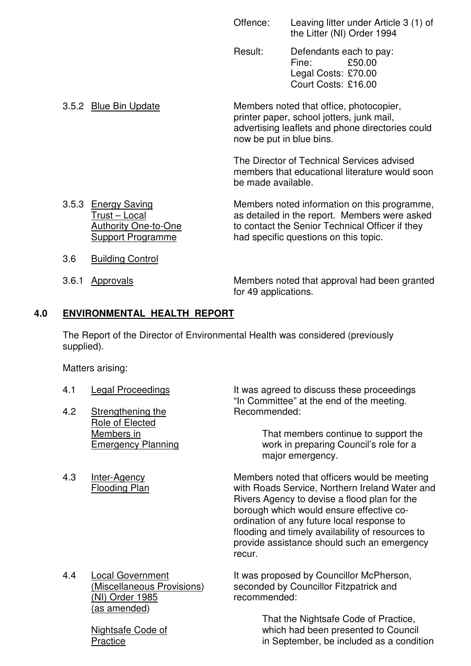| Offence: | Leaving litter under Article 3 (1) of |
|----------|---------------------------------------|
|          | the Litter (NI) Order 1994            |

 Result: Defendants each to pay: Fine: £50.00 Legal Costs: £70.00 Court Costs: £16.00

 3.5.2 Blue Bin Update Members noted that office, photocopier, printer paper, school jotters, junk mail, advertising leaflets and phone directories could now be put in blue bins.

> The Director of Technical Services advised members that educational literature would soon be made available.

- 3.5.3 Energy Saving Members noted information on this programme, Trust – Local as detailed in the report. Members were asked<br>Authority One-to-One to contact the Senior Technical Officer if they to contact the Senior Technical Officer if they Support Programme had specific questions on this topic.
- 3.6 Building Control
- 

 3.6.1 Approvals Members noted that approval had been granted for 49 applications.

# **4.0 ENVIRONMENTAL HEALTH REPORT**

 The Report of the Director of Environmental Health was considered (previously supplied).

Matters arising:

- 
- 4.2 Strengthening the Role of Elected
- 

4.1 Legal Proceedings It was agreed to discuss these proceedings "In Committee" at the end of the meeting.

Members in That members continue to support the Emergency Planning work in preparing Council's role for a major emergency.

4.3 Inter-Agency Members noted that officers would be meeting Flooding Plan with Roads Service, Northern Ireland Water and Rivers Agency to devise a flood plan for the borough which would ensure effective co ordination of any future local response to flooding and timely availability of resources to provide assistance should such an emergency recur.

 (NI) Order 1985 recommended: (as amended)

4.4 Local Government It was proposed by Councillor McPherson,<br>(Miscellaneous Provisions) seconded by Councillor Fitzpatrick and seconded by Councillor Fitzpatrick and

 That the Nightsafe Code of Practice, Nightsafe Code of which had been presented to Council Practice in September, be included as a condition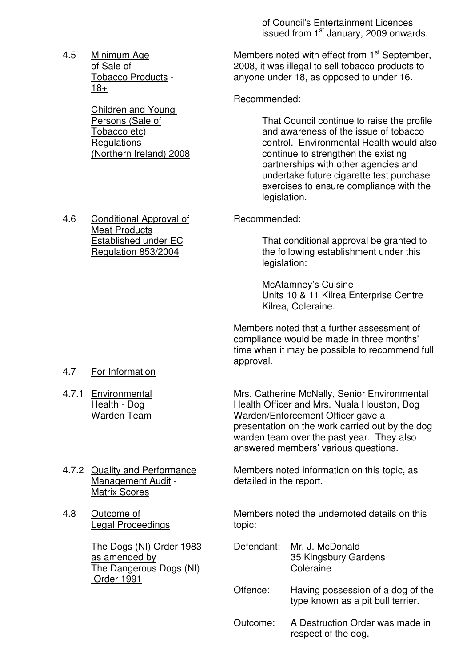of Council's Entertainment Licences issued from 1<sup>st</sup> January, 2009 onwards.

18+

Children and Young

4.6 Conditional Approval of Recommended: Meat Products

4.5 Minimum Age Members noted with effect from 1<sup>st</sup> September,<br>of Sale of Members 2008. it was illegal to sell tobacco products to 2008, it was illegal to sell tobacco products to Tobacco Products - anyone under 18, as opposed to under 16.

Recommended:

Persons (Sale of That Council continue to raise the profile Tobacco etc) and awareness of the issue of tobacco Regulations<br>
(Northern Ireland) 2008 (Northern Ireland) 2008 (Northern Ireland) 2008 continue to strengthen the existing partnerships with other agencies and undertake future cigarette test purchase exercises to ensure compliance with the legislation.

Established under EC That conditional approval be granted to Regulation 853/2004 the following establishment under this legislation:

> McAtamney's Cuisine Units 10 & 11 Kilrea Enterprise Centre Kilrea, Coleraine.

 Members noted that a further assessment of compliance would be made in three months' time when it may be possible to recommend full approval.

- 4.7 For Information
- 

 4.7.1 Environmental Mrs. Catherine McNally, Senior Environmental Health - Dog **Health Officer and Mrs. Nuala Houston, Dog** Warden Team Warden/Enforcement Officer gave a presentation on the work carried out by the dog warden team over the past year. They also answered members' various questions.

- Management Audit The detailed in the report. Matrix Scores
- Legal Proceedings The Material Copic:

The Dangerous Dogs (NI) Coleraine Order 1991

4.7.2 Quality and Performance Members noted information on this topic, as

4.8 Outcome of Members noted the undernoted details on this

- The Dogs (NI) Order 1983 Defendant: Mr. J. McDonald<br>as amended by 35 Kingsbury Ga 35 Kingsbury Gardens
	- Offence: Having possession of a dog of the type known as a pit bull terrier.
	- Outcome: A Destruction Order was made in respect of the dog.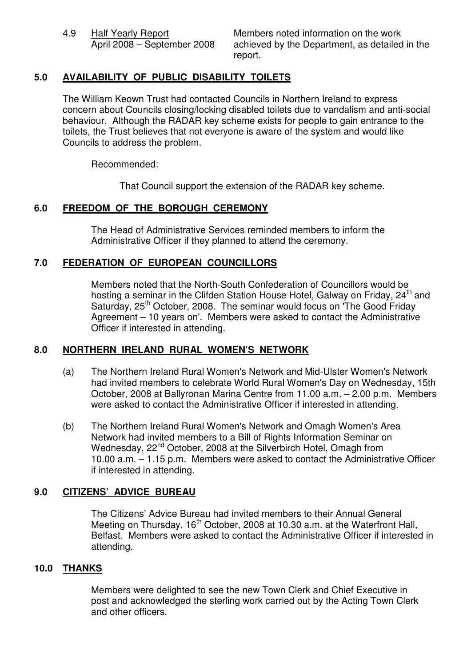4.9 Half Yearly Report Members noted information on the work<br>April 2008 – September 2008 achieved by the Department, as detailed achieved by the Department, as detailed in the report.

# **5.0 AVAILABILITY OF PUBLIC DISABILITY TOILETS**

 The William Keown Trust had contacted Councils in Northern Ireland to express concern about Councils closing/locking disabled toilets due to vandalism and anti-social behaviour. Although the RADAR key scheme exists for people to gain entrance to the toilets, the Trust believes that not everyone is aware of the system and would like Councils to address the problem.

Recommended:

That Council support the extension of the RADAR key scheme.

# **6.0 FREEDOM OF THE BOROUGH CEREMONY**

 The Head of Administrative Services reminded members to inform the Administrative Officer if they planned to attend the ceremony.

### **7.0 FEDERATION OF EUROPEAN COUNCILLORS**

 Members noted that the North-South Confederation of Councillors would be hosting a seminar in the Clifden Station House Hotel, Galway on Friday, 24<sup>th</sup> and Saturday, 25<sup>th</sup> October, 2008. The seminar would focus on The Good Friday Agreement – 10 years on'. Members were asked to contact the Administrative Officer if interested in attending.

# **8.0 NORTHERN IRELAND RURAL WOMEN'S NETWORK**

- (a) The Northern Ireland Rural Women's Network and Mid-Ulster Women's Network had invited members to celebrate World Rural Women's Day on Wednesday, 15th October, 2008 at Ballyronan Marina Centre from 11.00 a.m. – 2.00 p.m. Members were asked to contact the Administrative Officer if interested in attending.
- (b) The Northern Ireland Rural Women's Network and Omagh Women's Area Network had invited members to a Bill of Rights Information Seminar on Wednesday, 22<sup>nd</sup> October, 2008 at the Silverbirch Hotel, Omagh from 10.00 a.m. – 1.15 p.m. Members were asked to contact the Administrative Officer if interested in attending.

# **9.0 CITIZENS' ADVICE BUREAU**

 The Citizens' Advice Bureau had invited members to their Annual General Meeting on Thursday, 16<sup>th</sup> October, 2008 at 10.30 a.m. at the Waterfront Hall, Belfast. Members were asked to contact the Administrative Officer if interested in attending.

#### **10.0 THANKS**

 Members were delighted to see the new Town Clerk and Chief Executive in post and acknowledged the sterling work carried out by the Acting Town Clerk and other officers.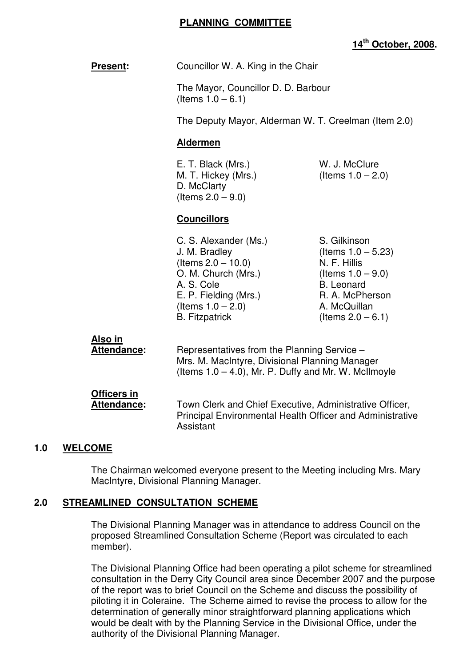#### **PLANNING COMMITTEE**

# **14th October, 2008.**

**Present:** Councillor W. A. King in the Chair

 The Mayor, Councillor D. D. Barbour (Items  $1.0 - 6.1$ )

The Deputy Mayor, Alderman W. T. Creelman (Item 2.0)

#### **Aldermen**

E. T. Black (Mrs.) W. J. McClure M. T. Hickey (Mrs.) (Items  $1.0 - 2.0$ ) D. McClarty (Items  $2.0 - 9.0$ )

#### **Councillors**

C. S. Alexander (Ms.) S. Gilkinson  $J. M. Bradley$  (Items  $1.0 - 5.23$ ) (Items 2.0 – 10.0) <br>O. M. Church (Mrs.) (Items 1.0 – 9.0) O. M. Church (Mrs.) A. S. Cole B. Leonard E. P. Fielding (Mrs.) R. A. McPherson  $($ ltems  $1.0 - 2.0)$  A. McQuillan B. Fitzpatrick  $($ Items  $2.0 - 6.1)$ 

| Also in<br><b>Attendance:</b>     | Representatives from the Planning Service -<br>Mrs. M. MacIntyre, Divisional Planning Manager<br>(Items $1.0 - 4.0$ ), Mr. P. Duffy and Mr. W. McIlmoyle |
|-----------------------------------|----------------------------------------------------------------------------------------------------------------------------------------------------------|
| Officers in<br><b>Attendance:</b> | Town Clerk and Chief Executive, Administrative Officer,<br><b>Principal Environmental Health Officer and Administrative</b><br>Assistant                 |

#### **1.0 WELCOME**

 The Chairman welcomed everyone present to the Meeting including Mrs. Mary MacIntyre, Divisional Planning Manager.

#### **2.0 STREAMLINED CONSULTATION SCHEME**

 The Divisional Planning Manager was in attendance to address Council on the proposed Streamlined Consultation Scheme (Report was circulated to each member).

 The Divisional Planning Office had been operating a pilot scheme for streamlined consultation in the Derry City Council area since December 2007 and the purpose of the report was to brief Council on the Scheme and discuss the possibility of piloting it in Coleraine. The Scheme aimed to revise the process to allow for the determination of generally minor straightforward planning applications which would be dealt with by the Planning Service in the Divisional Office, under the authority of the Divisional Planning Manager.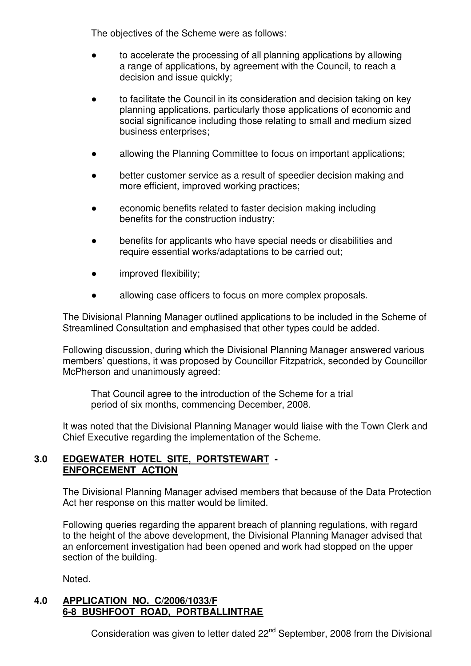The objectives of the Scheme were as follows:

- to accelerate the processing of all planning applications by allowing a range of applications, by agreement with the Council, to reach a decision and issue quickly;
- to facilitate the Council in its consideration and decision taking on key planning applications, particularly those applications of economic and social significance including those relating to small and medium sized business enterprises;
- allowing the Planning Committee to focus on important applications;
- better customer service as a result of speedier decision making and more efficient, improved working practices;
- economic benefits related to faster decision making including benefits for the construction industry;
- benefits for applicants who have special needs or disabilities and require essential works/adaptations to be carried out;
- **•** improved flexibility;
- allowing case officers to focus on more complex proposals.

 The Divisional Planning Manager outlined applications to be included in the Scheme of Streamlined Consultation and emphasised that other types could be added.

 Following discussion, during which the Divisional Planning Manager answered various members' questions, it was proposed by Councillor Fitzpatrick, seconded by Councillor McPherson and unanimously agreed:

 That Council agree to the introduction of the Scheme for a trial period of six months, commencing December, 2008.

 It was noted that the Divisional Planning Manager would liaise with the Town Clerk and Chief Executive regarding the implementation of the Scheme.

### **3.0 EDGEWATER HOTEL SITE, PORTSTEWART - ENFORCEMENT ACTION**

 The Divisional Planning Manager advised members that because of the Data Protection Act her response on this matter would be limited.

 Following queries regarding the apparent breach of planning regulations, with regard to the height of the above development, the Divisional Planning Manager advised that an enforcement investigation had been opened and work had stopped on the upper section of the building.

Noted.

### **4.0 APPLICATION NO. C/2006/1033/F 6-8 BUSHFOOT ROAD, PORTBALLINTRAE**

Consideration was given to letter dated 22<sup>nd</sup> September, 2008 from the Divisional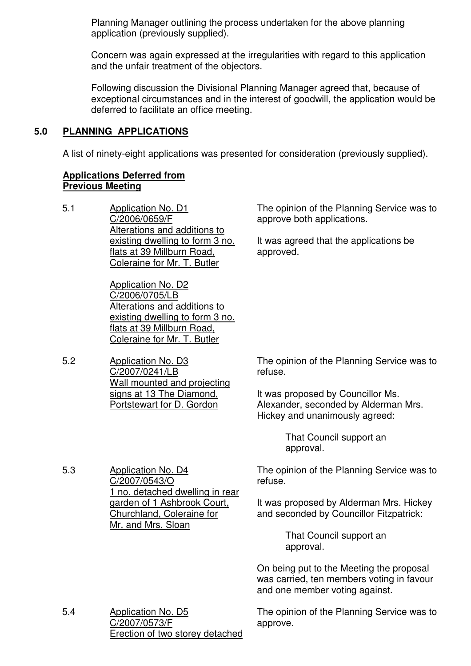Planning Manager outlining the process undertaken for the above planning application (previously supplied).

 Concern was again expressed at the irregularities with regard to this application and the unfair treatment of the objectors.

 Following discussion the Divisional Planning Manager agreed that, because of exceptional circumstances and in the interest of goodwill, the application would be deferred to facilitate an office meeting.

## **5.0 PLANNING APPLICATIONS**

A list of ninety-eight applications was presented for consideration (previously supplied).

# **Applications Deferred from Previous Meeting**

5.1 Application No. D1 C/2006/0659/F Alterations and additions to existing dwelling to form 3 no. flats at 39 Millburn Road, Coleraine for Mr. T. Butler

> Application No. D2 C/2006/0705/LB Alterations and additions to existing dwelling to form 3 no. flats at 39 Millburn Road, Coleraine for Mr. T. Butler

5.2 Application No. D3 C/2007/0241/LB Wall mounted and projecting signs at 13 The Diamond, Portstewart for D. Gordon

5.3 Application No. D4

C/2007/0543/O

Mr. and Mrs. Sloan

1 no. detached dwelling in rear garden of 1 Ashbrook Court, Churchland, Coleraine for

The opinion of the Planning Service was to approve both applications.

It was agreed that the applications be approved.

The opinion of the Planning Service was to refuse.

It was proposed by Councillor Ms. Alexander, seconded by Alderman Mrs. Hickey and unanimously agreed:

> That Council support an approval.

The opinion of the Planning Service was to refuse.

It was proposed by Alderman Mrs. Hickey and seconded by Councillor Fitzpatrick:

> That Council support an approval.

On being put to the Meeting the proposal was carried, ten members voting in favour and one member voting against.

5.4 Application No. D5 C/2007/0573/F Erection of two storey detached

The opinion of the Planning Service was to approve.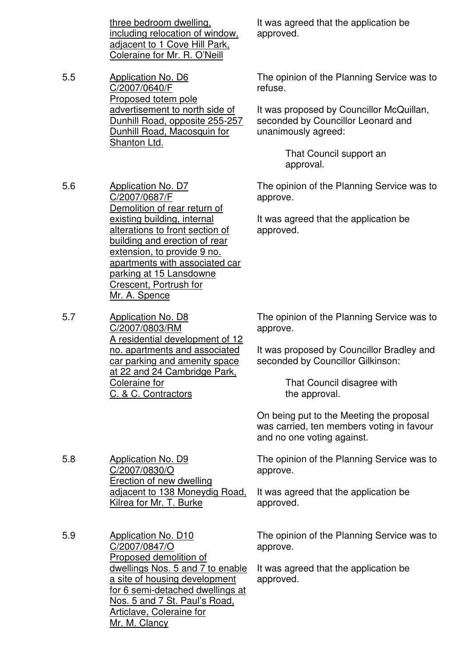three bedroom dwelling, including relocation of window, adjacent to 1 Cove Hill Park, Coleraine for Mr. R. O'Neill

5.5 Application No. D6 C/2007/0640/F Proposed totem pole advertisement to north side of Dunhill Road, opposite 255-257 Dunhill Road, Macosquin for Shanton Ltd.

5.6 Application No. D7

C/2007/0687/F

Mr. A. Spence

5.8 Application No. D9

C/2007/0830/O

Erection of new dwelling

Kilrea for Mr. T. Burke

adjacent to 138 Moneydig Road,

Demolition of rear return of existing building, internal alterations to front section of building and erection of rear extension, to provide 9 no. apartments with associated car

parking at 15 Lansdowne Crescent, Portrush for

It was agreed that the application be approved.

The opinion of the Planning Service was to refuse.

It was proposed by Councillor McQuillan, seconded by Councillor Leonard and unanimously agreed:

> That Council support an approval.

The opinion of the Planning Service was to approve.

It was agreed that the application be approved.

5.7 Application No. D8 C/2007/0803/RM A residential development of 12 no. apartments and associated car parking and amenity space at 22 and 24 Cambridge Park, Coleraine for C. & C. Contractors

The opinion of the Planning Service was to approve.

It was proposed by Councillor Bradley and seconded by Councillor Gilkinson:

> That Council disagree with the approval.

On being put to the Meeting the proposal was carried, ten members voting in favour and no one voting against.

The opinion of the Planning Service was to approve.

It was agreed that the application be approved.

5.9 Application No. D10 C/2007/0847/O Proposed demolition of dwellings Nos. 5 and 7 to enable a site of housing development for 6 semi-detached dwellings at Nos. 5 and 7 St. Paul's Road, Articlave, Coleraine for Mr. M. Clancy

The opinion of the Planning Service was to approve.

It was agreed that the application be approved.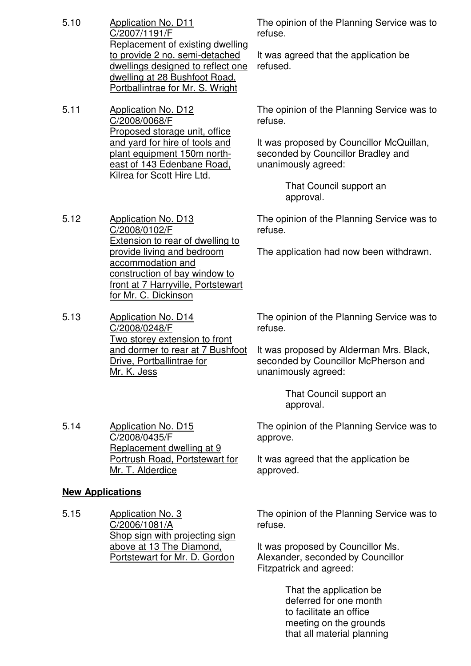- 5.10 Application No. D11 C/2007/1191/F Replacement of existing dwelling to provide 2 no. semi-detached dwellings designed to reflect one dwelling at 28 Bushfoot Road, Portballintrae for Mr. S. Wright
- 5.11 Application No. D12 C/2008/0068/F Proposed storage unit, office and yard for hire of tools and plant equipment 150m northeast of 143 Edenbane Road, Kilrea for Scott Hire Ltd.

5.12 Application No. D13

C/2008/0102/F

accommodation and

The opinion of the Planning Service was to refuse.

It was agreed that the application be refused.

The opinion of the Planning Service was to refuse.

It was proposed by Councillor McQuillan, seconded by Councillor Bradley and unanimously agreed:

> That Council support an approval.

The opinion of the Planning Service was to refuse.

The application had now been withdrawn.

for Mr. C. Dickinson 5.13 Application No. D14 C/2008/0248/F Two storey extension to front and dormer to rear at 7 Bushfoot Drive, Portballintrae for Mr. K. Jess

Extension to rear of dwelling to provide living and bedroom

construction of bay window to front at 7 Harryville, Portstewart

> The opinion of the Planning Service was to refuse.

It was proposed by Alderman Mrs. Black, seconded by Councillor McPherson and unanimously agreed:

> That Council support an approval.

The opinion of the Planning Service was to approve.

It was agreed that the application be approved.

#### **New Applications**

5.14 Application No. D15

C/2008/0435/F

Mr. T. Alderdice

Replacement dwelling at 9 Portrush Road, Portstewart for

5.15 Application No. 3 C/2006/1081/A Shop sign with projecting sign above at 13 The Diamond, Portstewart for Mr. D. Gordon

The opinion of the Planning Service was to refuse.

It was proposed by Councillor Ms. Alexander, seconded by Councillor Fitzpatrick and agreed:

> That the application be deferred for one month to facilitate an office meeting on the grounds that all material planning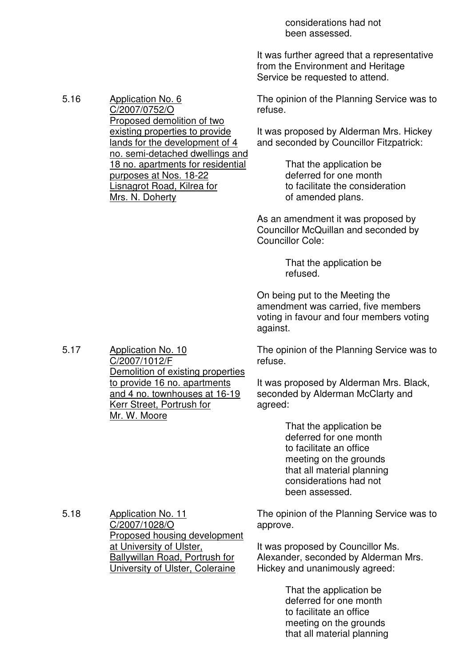considerations had not been assessed.

It was further agreed that a representative from the Environment and Heritage Service be requested to attend.

The opinion of the Planning Service was to refuse.

It was proposed by Alderman Mrs. Hickey and seconded by Councillor Fitzpatrick:

> That the application be deferred for one month to facilitate the consideration of amended plans.

As an amendment it was proposed by Councillor McQuillan and seconded by Councillor Cole:

> That the application be refused.

On being put to the Meeting the amendment was carried, five members voting in favour and four members voting against.

The opinion of the Planning Service was to refuse.

It was proposed by Alderman Mrs. Black, seconded by Alderman McClarty and agreed:

> That the application be deferred for one month to facilitate an office meeting on the grounds that all material planning considerations had not been assessed.

5.18 Application No. 11 C/2007/1028/O Proposed housing development at University of Ulster, Ballywillan Road, Portrush for University of Ulster, Coleraine

The opinion of the Planning Service was to approve.

It was proposed by Councillor Ms. Alexander, seconded by Alderman Mrs. Hickey and unanimously agreed:

> That the application be deferred for one month to facilitate an office meeting on the grounds that all material planning

5.17 Application No. 10 C/2007/1012/F Demolition of existing properties to provide 16 no. apartments and 4 no. townhouses at 16-19 Kerr Street, Portrush for Mr. W. Moore

#### 5.16 Application No. 6

C/2007/0752/O

Mrs. N. Doherty

Proposed demolition of two existing properties to provide lands for the development of 4 no. semi-detached dwellings and 18 no. apartments for residential

purposes at Nos. 18-22 Lisnagrot Road, Kilrea for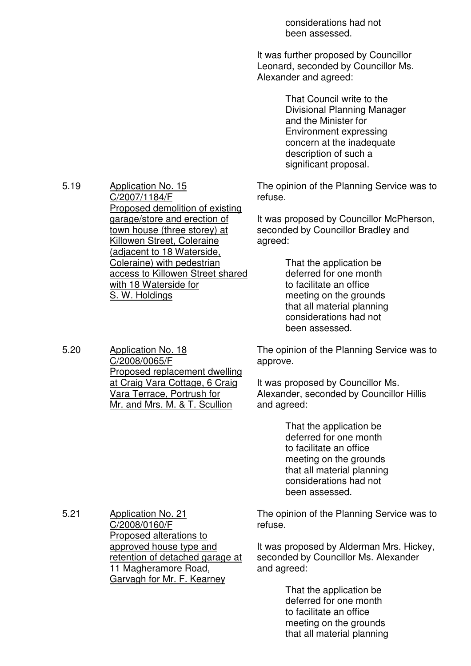considerations had not been assessed.

It was further proposed by Councillor Leonard, seconded by Councillor Ms. Alexander and agreed:

> That Council write to the Divisional Planning Manager and the Minister for Environment expressing concern at the inadequate description of such a significant proposal.

The opinion of the Planning Service was to refuse.

It was proposed by Councillor McPherson, seconded by Councillor Bradley and agreed:

> That the application be deferred for one month to facilitate an office meeting on the grounds that all material planning considerations had not been assessed.

The opinion of the Planning Service was to approve.

It was proposed by Councillor Ms. Alexander, seconded by Councillor Hillis and agreed:

> That the application be deferred for one month to facilitate an office meeting on the grounds that all material planning considerations had not been assessed.

The opinion of the Planning Service was to refuse.

It was proposed by Alderman Mrs. Hickey, seconded by Councillor Ms. Alexander and agreed:

> That the application be deferred for one month to facilitate an office meeting on the grounds that all material planning

5.19 Application No. 15 C/2007/1184/F Proposed demolition of existing garage/store and erection of town house (three storey) at Killowen Street, Coleraine (adjacent to 18 Waterside, Coleraine) with pedestrian access to Killowen Street shared with 18 Waterside for S. W. Holdings

5.20 Application No. 18 C/2008/0065/F Proposed replacement dwelling at Craig Vara Cottage, 6 Craig Vara Terrace, Portrush for Mr. and Mrs. M. & T. Scullion

5.21 Application No. 21 C/2008/0160/F Proposed alterations to approved house type and retention of detached garage at 11 Magheramore Road, Garvagh for Mr. F. Kearney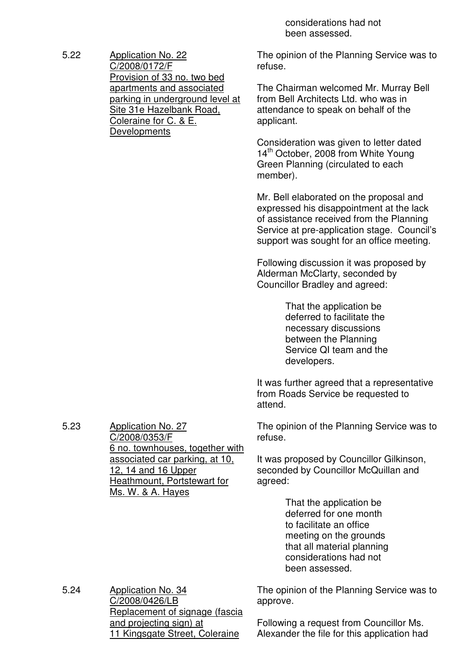considerations had not been assessed.

The opinion of the Planning Service was to refuse.

The Chairman welcomed Mr. Murray Bell from Bell Architects Ltd. who was in attendance to speak on behalf of the applicant.

Consideration was given to letter dated 14<sup>th</sup> October, 2008 from White Young Green Planning (circulated to each member).

Mr. Bell elaborated on the proposal and expressed his disappointment at the lack of assistance received from the Planning Service at pre-application stage. Council's support was sought for an office meeting.

Following discussion it was proposed by Alderman McClarty, seconded by Councillor Bradley and agreed:

> That the application be deferred to facilitate the necessary discussions between the Planning Service QI team and the developers.

It was further agreed that a representative from Roads Service be requested to attend.

The opinion of the Planning Service was to refuse.

It was proposed by Councillor Gilkinson, seconded by Councillor McQuillan and agreed:

> That the application be deferred for one month to facilitate an office meeting on the grounds that all material planning considerations had not been assessed.

The opinion of the Planning Service was to approve.

5.24 Application No. 34 C/2008/0426/LB Replacement of signage (fascia and projecting sign) at 11 Kingsgate Street, Coleraine

Following a request from Councillor Ms. Alexander the file for this application had

5.23 Application No. 27 C/2008/0353/F 6 no. townhouses, together with associated car parking, at 10, 12, 14 and 16 Upper Heathmount, Portstewart for Ms. W. & A. Hayes

5.22 Application No. 22 C/2008/0172/F Provision of 33 no. two bed apartments and associated parking in underground level at Site 31e Hazelbank Road, Coleraine for C. & E. **Developments**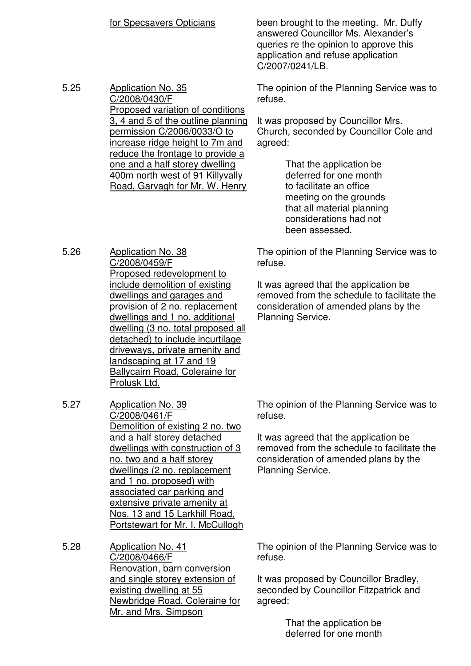for Specsavers Opticians been brought to the meeting. Mr. Duffy answered Councillor Ms. Alexander's queries re the opinion to approve this application and refuse application C/2007/0241/LB.

5.25 Application No. 35 C/2008/0430/F Proposed variation of conditions 3, 4 and 5 of the outline planning permission C/2006/0033/O to increase ridge height to 7m and reduce the frontage to provide a one and a half storey dwelling 400m north west of 91 Killyvally Road, Garvagh for Mr. W. Henry

5.26 Application No. 38

The opinion of the Planning Service was to refuse.

It was proposed by Councillor Mrs. Church, seconded by Councillor Cole and agreed:

> That the application be deferred for one month to facilitate an office meeting on the grounds that all material planning considerations had not been assessed.

The opinion of the Planning Service was to refuse.

It was agreed that the application be removed from the schedule to facilitate the consideration of amended plans by the Planning Service.

C/2008/0459/F Proposed redevelopment to include demolition of existing dwellings and garages and provision of 2 no. replacement dwellings and 1 no. additional dwelling (3 no. total proposed all detached) to include incurtilage driveways, private amenity and landscaping at 17 and 19 Ballycairn Road, Coleraine for Prolusk Ltd.

5.27 Application No. 39 C/2008/0461/F Demolition of existing 2 no. two and a half storey detached dwellings with construction of 3 no. two and a half storey dwellings (2 no. replacement and 1 no. proposed) with associated car parking and extensive private amenity at Nos. 13 and 15 Larkhill Road, Portstewart for Mr. I. McCullogh

5.28 Application No. 41 C/2008/0466/F Renovation, barn conversion and single storey extension of existing dwelling at 55 Newbridge Road, Coleraine for Mr. and Mrs. Simpson

The opinion of the Planning Service was to refuse.

It was agreed that the application be removed from the schedule to facilitate the consideration of amended plans by the Planning Service.

The opinion of the Planning Service was to refuse.

It was proposed by Councillor Bradley, seconded by Councillor Fitzpatrick and agreed:

> That the application be deferred for one month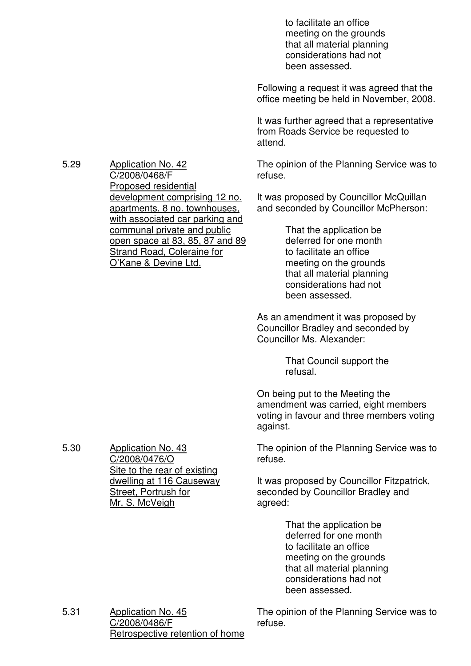to facilitate an office meeting on the grounds that all material planning considerations had not been assessed.

Following a request it was agreed that the office meeting be held in November, 2008.

It was further agreed that a representative from Roads Service be requested to attend.

The opinion of the Planning Service was to refuse.

It was proposed by Councillor McQuillan and seconded by Councillor McPherson:

> That the application be deferred for one month to facilitate an office meeting on the grounds that all material planning considerations had not been assessed.

As an amendment it was proposed by Councillor Bradley and seconded by Councillor Ms. Alexander:

> That Council support the refusal.

On being put to the Meeting the amendment was carried, eight members voting in favour and three members voting against.

The opinion of the Planning Service was to refuse.

It was proposed by Councillor Fitzpatrick, seconded by Councillor Bradley and agreed:

> That the application be deferred for one month to facilitate an office meeting on the grounds that all material planning considerations had not been assessed.

5.31 Application No. 45 C/2008/0486/F Retrospective retention of home

The opinion of the Planning Service was to refuse.

5.29 Application No. 42

C/2008/0468/F Proposed residential development comprising 12 no. apartments, 8 no. townhouses, with associated car parking and communal private and public open space at 83, 85, 87 and 89 Strand Road, Coleraine for O'Kane & Devine Ltd.

5.30 Application No. 43 C/2008/0476/O Site to the rear of existing dwelling at 116 Causeway Street, Portrush for Mr. S. McVeigh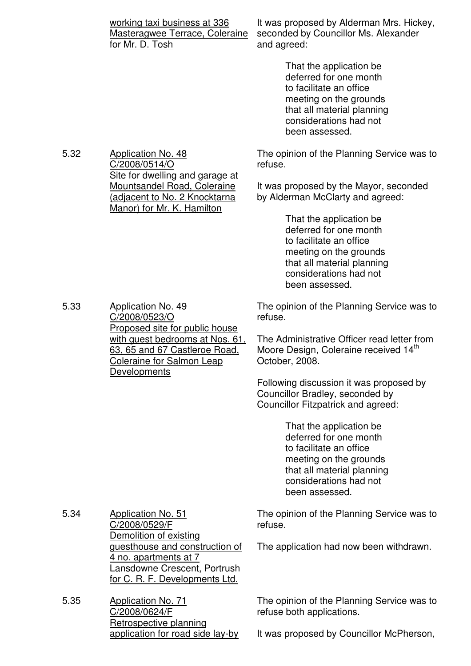|      | working taxi business at 336<br>Masteragwee Terrace, Coleraine<br>for Mr. D. Tosh                                                                   | It was proposed by Alderman Mrs. Hickey,<br>seconded by Councillor Ms. Alexander<br>and agreed:                                                                                  |
|------|-----------------------------------------------------------------------------------------------------------------------------------------------------|----------------------------------------------------------------------------------------------------------------------------------------------------------------------------------|
|      |                                                                                                                                                     | That the application be<br>deferred for one month<br>to facilitate an office<br>meeting on the grounds<br>that all material planning<br>considerations had not<br>been assessed. |
| 5.32 | <b>Application No. 48</b><br>C/2008/0514/O                                                                                                          | The opinion of the Planning Service was to<br>refuse.                                                                                                                            |
|      | Site for dwelling and garage at<br><b>Mountsandel Road, Coleraine</b><br><u>(adjacent to No. 2 Knocktarna</u><br>Manor) for Mr. K. Hamilton         | It was proposed by the Mayor, seconded<br>by Alderman McClarty and agreed:                                                                                                       |
|      |                                                                                                                                                     | That the application be<br>deferred for one month<br>to facilitate an office<br>meeting on the grounds<br>that all material planning<br>considerations had not<br>been assessed. |
| 5.33 | <b>Application No. 49</b><br>C/2008/0523/O<br>Proposed site for public house                                                                        | The opinion of the Planning Service was to<br>refuse.                                                                                                                            |
|      | with guest bedrooms at Nos. 61,<br>63, 65 and 67 Castleroe Road,<br><b>Coleraine for Salmon Leap</b><br>Developments                                | The Administrative Officer read letter from<br>Moore Design, Coleraine received 14th<br>October, 2008.                                                                           |
|      |                                                                                                                                                     | Following discussion it was proposed by<br>Councillor Bradley, seconded by<br><b>Councillor Fitzpatrick and agreed:</b>                                                          |
|      |                                                                                                                                                     | That the application be<br>deferred for one month<br>to facilitate an office<br>meeting on the grounds<br>that all material planning<br>considerations had not<br>been assessed. |
| 5.34 | <b>Application No. 51</b><br>C/2008/0529/F                                                                                                          | The opinion of the Planning Service was to<br>refuse.                                                                                                                            |
|      | Demolition of existing<br>guesthouse and construction of<br>4 no. apartments at 7<br>Lansdowne Crescent, Portrush<br>for C. R. F. Developments Ltd. | The application had now been withdrawn.                                                                                                                                          |
| 5.35 | <b>Application No. 71</b><br>C/2008/0624/F<br>Retrospective planning                                                                                | The opinion of the Planning Service was to<br>refuse both applications.                                                                                                          |
|      | application for road side lay-by                                                                                                                    | It was proposed by Councillor McPherson,                                                                                                                                         |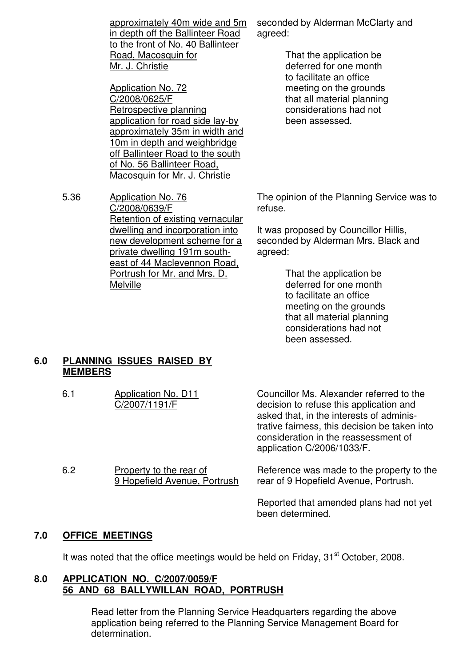approximately 40m wide and 5m in depth off the Ballinteer Road to the front of No. 40 Ballinteer Road, Macosquin for Mr. J. Christie

Application No. 72 C/2008/0625/F Retrospective planning application for road side lay-by approximately 35m in width and 10m in depth and weighbridge off Ballinteer Road to the south of No. 56 Ballinteer Road, Macosquin for Mr. J. Christie

5.36 Application No. 76 C/2008/0639/F Retention of existing vernacular dwelling and incorporation into new development scheme for a private dwelling 191m southeast of 44 Maclevennon Road, Portrush for Mr. and Mrs. D. Melville

seconded by Alderman McClarty and agreed:

> That the application be deferred for one month to facilitate an office meeting on the grounds that all material planning considerations had not been assessed.

The opinion of the Planning Service was to refuse.

It was proposed by Councillor Hillis, seconded by Alderman Mrs. Black and agreed:

> That the application be deferred for one month to facilitate an office meeting on the grounds that all material planning considerations had not been assessed.

### **6.0 PLANNING ISSUES RAISED BY MEMBERS**

| 6.1 | Application No. D11<br>C/2007/1191/F                    | Councillor Ms. Alexander referred to the<br>decision to refuse this application and<br>asked that, in the interests of adminis-<br>trative fairness, this decision be taken into<br>consideration in the reassessment of<br>application C/2006/1033/F. |
|-----|---------------------------------------------------------|--------------------------------------------------------------------------------------------------------------------------------------------------------------------------------------------------------------------------------------------------------|
| 6.2 | Property to the rear of<br>9 Hopefield Avenue, Portrush | Reference was made to the property to the<br>rear of 9 Hopefield Avenue, Portrush.                                                                                                                                                                     |
|     |                                                         | Reported that amended plans had not yet<br>been determined.                                                                                                                                                                                            |

# **7.0 OFFICE MEETINGS**

It was noted that the office meetings would be held on Friday,  $31<sup>st</sup>$  October, 2008.

#### **8.0 APPLICATION NO. C/2007/0059/F 56 AND 68 BALLYWILLAN ROAD, PORTRUSH**

 Read letter from the Planning Service Headquarters regarding the above application being referred to the Planning Service Management Board for determination.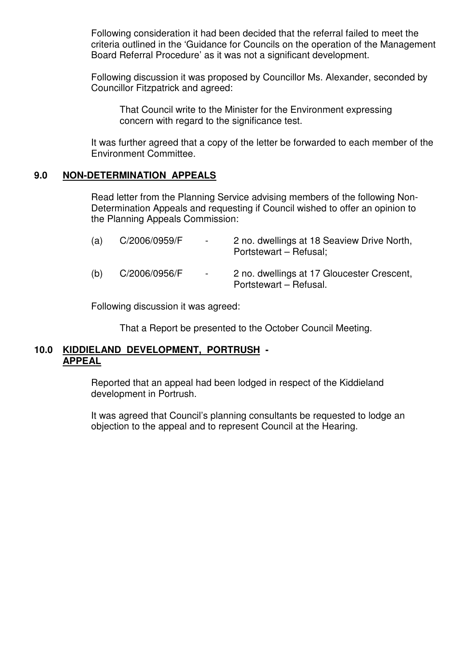Following consideration it had been decided that the referral failed to meet the criteria outlined in the 'Guidance for Councils on the operation of the Management Board Referral Procedure' as it was not a significant development.

 Following discussion it was proposed by Councillor Ms. Alexander, seconded by Councillor Fitzpatrick and agreed:

 That Council write to the Minister for the Environment expressing concern with regard to the significance test.

 It was further agreed that a copy of the letter be forwarded to each member of the Environment Committee.

### **9.0 NON-DETERMINATION APPEALS**

 Read letter from the Planning Service advising members of the following Non- Determination Appeals and requesting if Council wished to offer an opinion to the Planning Appeals Commission:

| (a) | C/2006/0959/F | $\sim$ | 2 no. dwellings at 18 Seaview Drive North,<br>Portstewart – Refusal; |
|-----|---------------|--------|----------------------------------------------------------------------|
| (b) | C/2006/0956/F | $\sim$ | 2 no. dwellings at 17 Gloucester Crescent,<br>Portstewart - Refusal. |

Following discussion it was agreed:

That a Report be presented to the October Council Meeting.

#### **10.0 KIDDIELAND DEVELOPMENT, PORTRUSH - APPEAL**

 Reported that an appeal had been lodged in respect of the Kiddieland development in Portrush.

 It was agreed that Council's planning consultants be requested to lodge an objection to the appeal and to represent Council at the Hearing.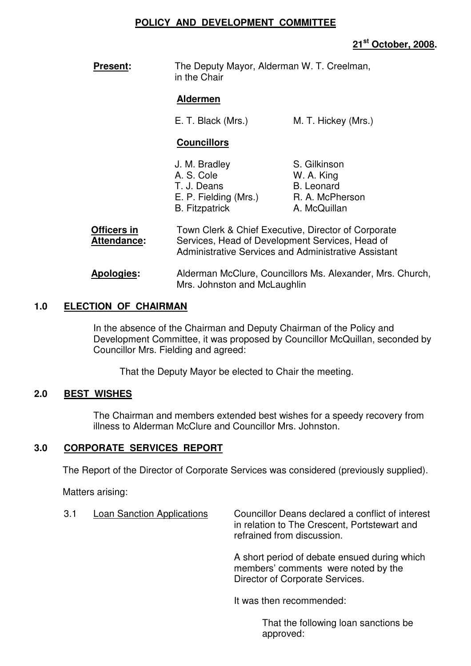#### **POLICY AND DEVELOPMENT COMMITTEE**

# **21st October, 2008.**

**Present:** The Deputy Mayor, Alderman W. T. Creelman, in the Chair

#### **Aldermen**

E. T. Black (Mrs.) M. T. Hickey (Mrs.)

# **Councillors**

| J. M. Bradley         | S. Gilkinson      |
|-----------------------|-------------------|
| A. S. Cole            | W. A. King        |
| T. J. Deans           | <b>B.</b> Leonard |
| E. P. Fielding (Mrs.) | R. A. McPherson   |
| <b>B.</b> Fitzpatrick | A. McQuillan      |

| Officers in<br>Attendance: | Town Clerk & Chief Executive, Director of Corporate<br>Services, Head of Development Services, Head of<br>Administrative Services and Administrative Assistant |  |
|----------------------------|----------------------------------------------------------------------------------------------------------------------------------------------------------------|--|
| <b>Apologies:</b>          | Alderman McClure, Councillors Ms. Alexander, Mrs. Church,                                                                                                      |  |

Mrs. Johnston and McLaughlin

# **1.0 ELECTION OF CHAIRMAN**

In the absence of the Chairman and Deputy Chairman of the Policy and Development Committee, it was proposed by Councillor McQuillan, seconded by Councillor Mrs. Fielding and agreed:

That the Deputy Mayor be elected to Chair the meeting.

# **2.0 BEST WISHES**

The Chairman and members extended best wishes for a speedy recovery from illness to Alderman McClure and Councillor Mrs. Johnston.

# **3.0 CORPORATE SERVICES REPORT**

The Report of the Director of Corporate Services was considered (previously supplied).

Matters arising:

3.1 Loan Sanction Applications Councillor Deans declared a conflict of interest in relation to The Crescent, Portstewart and refrained from discussion.

> A short period of debate ensued during which members' comments were noted by the Director of Corporate Services.

It was then recommended:

 That the following loan sanctions be approved: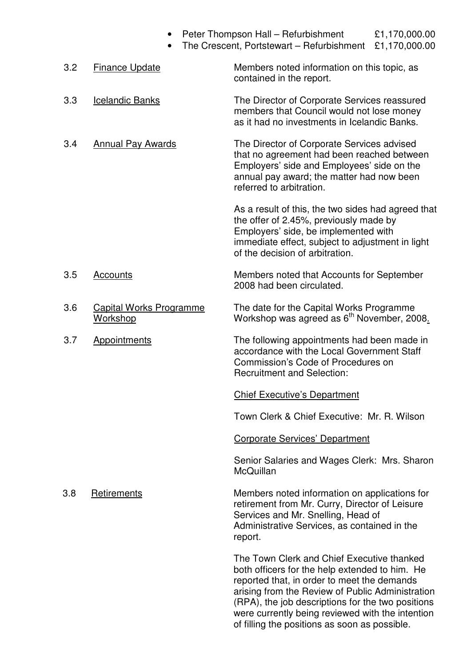|     |                                                   | Peter Thompson Hall - Refurbishment<br>The Crescent, Portstewart - Refurbishment                                                                                                                                                                                                                         | £1,170,000.00<br>£1,170,000.00 |
|-----|---------------------------------------------------|----------------------------------------------------------------------------------------------------------------------------------------------------------------------------------------------------------------------------------------------------------------------------------------------------------|--------------------------------|
| 3.2 | <b>Finance Update</b>                             | Members noted information on this topic, as<br>contained in the report.                                                                                                                                                                                                                                  |                                |
| 3.3 | <b>Icelandic Banks</b>                            | The Director of Corporate Services reassured<br>members that Council would not lose money<br>as it had no investments in Icelandic Banks.                                                                                                                                                                |                                |
| 3.4 | <b>Annual Pay Awards</b>                          | The Director of Corporate Services advised<br>that no agreement had been reached between<br>Employers' side and Employees' side on the<br>annual pay award; the matter had now been<br>referred to arbitration.                                                                                          |                                |
|     |                                                   | As a result of this, the two sides had agreed that<br>the offer of 2.45%, previously made by<br>Employers' side, be implemented with<br>immediate effect, subject to adjustment in light<br>of the decision of arbitration.                                                                              |                                |
| 3.5 | Accounts                                          | Members noted that Accounts for September<br>2008 had been circulated.                                                                                                                                                                                                                                   |                                |
| 3.6 | <b>Capital Works Programme</b><br><b>Workshop</b> | The date for the Capital Works Programme<br>Workshop was agreed as 6 <sup>th</sup> November, 2008.                                                                                                                                                                                                       |                                |
| 3.7 | Appointments                                      | The following appointments had been made in<br>accordance with the Local Government Staff<br>Commission's Code of Procedures on<br><b>Recruitment and Selection:</b>                                                                                                                                     |                                |
|     |                                                   | <b>Chief Executive's Department</b>                                                                                                                                                                                                                                                                      |                                |
|     |                                                   | Town Clerk & Chief Executive: Mr. R. Wilson                                                                                                                                                                                                                                                              |                                |
|     |                                                   | <b>Corporate Services' Department</b>                                                                                                                                                                                                                                                                    |                                |
|     |                                                   | Senior Salaries and Wages Clerk: Mrs. Sharon<br>McQuillan                                                                                                                                                                                                                                                |                                |
| 3.8 | Retirements                                       | Members noted information on applications for<br>retirement from Mr. Curry, Director of Leisure<br>Services and Mr. Snelling, Head of<br>Administrative Services, as contained in the<br>report.                                                                                                         |                                |
|     |                                                   | The Town Clerk and Chief Executive thanked<br>both officers for the help extended to him. He<br>reported that, in order to meet the demands<br>arising from the Review of Public Administration<br>(RPA), the job descriptions for the two positions<br>were currently being reviewed with the intention |                                |

of filling the positions as soon as possible.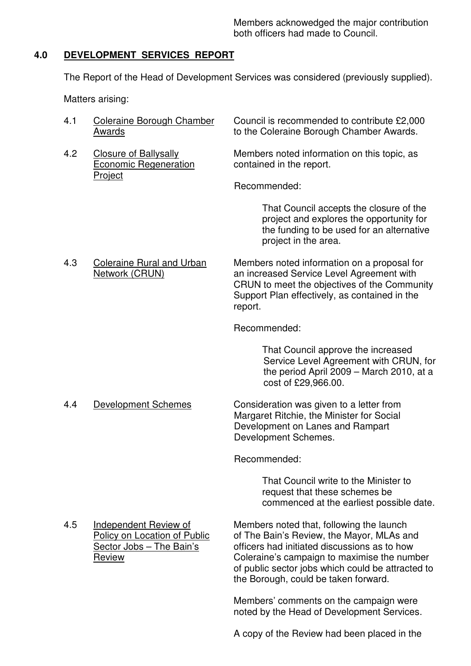Members acknowedged the major contribution both officers had made to Council.

# **4.0 DEVELOPMENT SERVICES REPORT**

The Report of the Head of Development Services was considered (previously supplied).

Matters arising:

| 4.1 | Coleraine Borough Chamber | Council is recommended to contribute £2,000 |
|-----|---------------------------|---------------------------------------------|
|     | Awards                    | to the Coleraine Borough Chamber Awards.    |
|     |                           |                                             |

**Project** 

4.2 Closure of Ballysally Members noted information on this topic, as<br>
Economic Regeneration contained in the report. contained in the report.

Recommended:

 That Council accepts the closure of the project and explores the opportunity for the funding to be used for an alternative project in the area.

4.3 Coleraine Rural and Urban Members noted information on a proposal for<br>
Network (CRUN) an increased Service Level Agreement with an increased Service Level Agreement with CRUN to meet the objectives of the Community Support Plan effectively, as contained in the report.

Recommended:

 That Council approve the increased Service Level Agreement with CRUN, for the period April 2009 – March 2010, at a cost of £29,966.00.

4.4 Development Schemes Consideration was given to a letter from Margaret Ritchie, the Minister for Social Development on Lanes and Rampart Development Schemes.

Recommended:

 That Council write to the Minister to request that these schemes be commenced at the earliest possible date.

4.5 Independent Review of Members noted that, following the launch Policy on Location of Public of The Bain's Review, the Mayor, MLAs and Sector Jobs – The Bain's officers had initiated discussions as to how Review Coleraine's campaign to maximise the number of public sector jobs which could be attracted to the Borough, could be taken forward.

> Members' comments on the campaign were noted by the Head of Development Services.

> A copy of the Review had been placed in the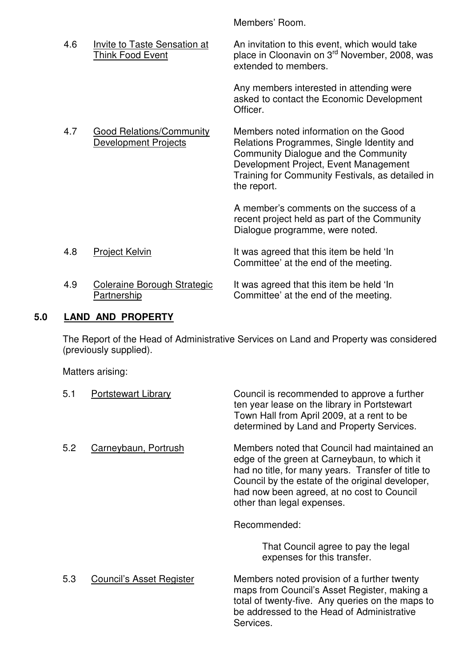Members' Room.

| 4.6 | Invite to Taste Sensation at<br>Think Food Event         | An invitation to this event, which would take<br>place in Cloonavin on 3 <sup>rd</sup> November, 2008, was<br>extended to members.                                                                                                     |
|-----|----------------------------------------------------------|----------------------------------------------------------------------------------------------------------------------------------------------------------------------------------------------------------------------------------------|
|     |                                                          | Any members interested in attending were<br>asked to contact the Economic Development<br>Officer.                                                                                                                                      |
| 4.7 | <b>Good Relations/Community</b><br>Development Projects  | Members noted information on the Good<br>Relations Programmes, Single Identity and<br>Community Dialogue and the Community<br>Development Project, Event Management<br>Training for Community Festivals, as detailed in<br>the report. |
|     |                                                          | A member's comments on the success of a<br>recent project held as part of the Community<br>Dialogue programme, were noted.                                                                                                             |
| 4.8 | <b>Project Kelvin</b>                                    | It was agreed that this item be held 'In<br>Committee' at the end of the meeting.                                                                                                                                                      |
| 4.9 | <b>Coleraine Borough Strategic</b><br><u>Partnership</u> | It was agreed that this item be held 'In<br>Committee' at the end of the meeting.                                                                                                                                                      |
|     |                                                          |                                                                                                                                                                                                                                        |

# **5.0 LAND AND PROPERTY**

The Report of the Head of Administrative Services on Land and Property was considered (previously supplied).

Matters arising:

| 5.1 | <b>Portstewart Library</b> | Council is recommended to approve a further<br>ten year lease on the library in Portstewart<br>Town Hall from April 2009, at a rent to be<br>determined by Land and Property Services.                                                                                             |
|-----|----------------------------|------------------------------------------------------------------------------------------------------------------------------------------------------------------------------------------------------------------------------------------------------------------------------------|
| 5.2 | Carneybaun, Portrush       | Members noted that Council had maintained an<br>edge of the green at Carneybaun, to which it<br>had no title, for many years. Transfer of title to<br>Council by the estate of the original developer,<br>had now been agreed, at no cost to Council<br>other than legal expenses. |
|     |                            | Recommended:                                                                                                                                                                                                                                                                       |
|     |                            | That Council agree to pay the legal<br>expenses for this transfer.                                                                                                                                                                                                                 |
| 5.3 | Council's Asset Register   | Members noted provision of a further twenty<br>maps from Council's Asset Register, making a<br>total of twenty-five. Any queries on the maps to<br>be addressed to the Head of Administrative<br>Services.                                                                         |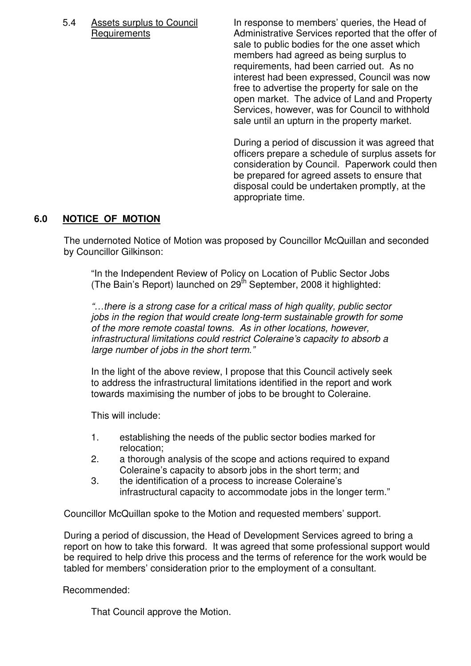5.4 Assets surplus to Council In response to members' queries, the Head of Requirements **Administrative Services reported that the offer of** sale to public bodies for the one asset which members had agreed as being surplus to requirements, had been carried out. As no interest had been expressed, Council was now free to advertise the property for sale on the open market. The advice of Land and Property Services, however, was for Council to withhold sale until an upturn in the property market.

> During a period of discussion it was agreed that officers prepare a schedule of surplus assets for consideration by Council. Paperwork could then be prepared for agreed assets to ensure that disposal could be undertaken promptly, at the appropriate time.

# **6.0 NOTICE OF MOTION**

The undernoted Notice of Motion was proposed by Councillor McQuillan and seconded by Councillor Gilkinson:

 "In the Independent Review of Policy on Location of Public Sector Jobs (The Bain's Report) launched on 29th September, 2008 it highlighted:

"…there is a strong case for a critical mass of high quality, public sector jobs in the region that would create long-term sustainable growth for some of the more remote coastal towns. As in other locations, however, infrastructural limitations could restrict Coleraine's capacity to absorb a large number of jobs in the short term."

 In the light of the above review, I propose that this Council actively seek to address the infrastructural limitations identified in the report and work towards maximising the number of jobs to be brought to Coleraine.

This will include:

- 1. establishing the needs of the public sector bodies marked for relocation;
- 2. a thorough analysis of the scope and actions required to expand Coleraine's capacity to absorb jobs in the short term; and
- 3. the identification of a process to increase Coleraine's infrastructural capacity to accommodate jobs in the longer term."

Councillor McQuillan spoke to the Motion and requested members' support.

During a period of discussion, the Head of Development Services agreed to bring a report on how to take this forward. It was agreed that some professional support would be required to help drive this process and the terms of reference for the work would be tabled for members' consideration prior to the employment of a consultant.

Recommended:

That Council approve the Motion.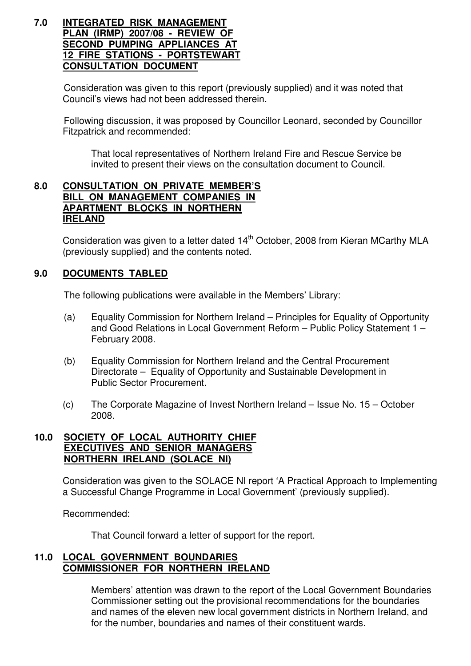#### **7.0 INTEGRATED RISK MANAGEMENT PLAN (IRMP) 2007/08 - REVIEW OF SECOND PUMPING APPLIANCES AT 12 FIRE STATIONS - PORTSTEWART CONSULTATION DOCUMENT**

Consideration was given to this report (previously supplied) and it was noted that Council's views had not been addressed therein.

Following discussion, it was proposed by Councillor Leonard, seconded by Councillor Fitzpatrick and recommended:

That local representatives of Northern Ireland Fire and Rescue Service be invited to present their views on the consultation document to Council.

### **8.0 CONSULTATION ON PRIVATE MEMBER'S BILL ON MANAGEMENT COMPANIES IN APARTMENT BLOCKS IN NORTHERN IRELAND**

Consideration was given to a letter dated 14<sup>th</sup> October, 2008 from Kieran MCarthy MLA (previously supplied) and the contents noted.

# **9.0 DOCUMENTS TABLED**

The following publications were available in the Members' Library:

- (a) Equality Commission for Northern Ireland Principles for Equality of Opportunity and Good Relations in Local Government Reform – Public Policy Statement 1 – February 2008.
- (b) Equality Commission for Northern Ireland and the Central Procurement Directorate – Equality of Opportunity and Sustainable Development in Public Sector Procurement.
- (c) The Corporate Magazine of Invest Northern Ireland Issue No. 15 October 2008.

### **10.0 SOCIETY OF LOCAL AUTHORITY CHIEF EXECUTIVES AND SENIOR MANAGERS NORTHERN IRELAND (SOLACE NI)**

Consideration was given to the SOLACE NI report 'A Practical Approach to Implementing a Successful Change Programme in Local Government' (previously supplied).

Recommended:

That Council forward a letter of support for the report.

### **11.0 LOCAL GOVERNMENT BOUNDARIES COMMISSIONER FOR NORTHERN IRELAND**

 Members' attention was drawn to the report of the Local Government Boundaries Commissioner setting out the provisional recommendations for the boundaries and names of the eleven new local government districts in Northern Ireland, and for the number, boundaries and names of their constituent wards.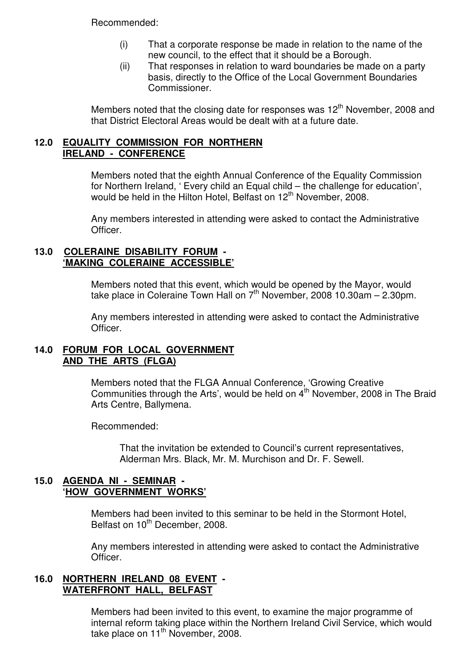Recommended:

- (i) That a corporate response be made in relation to the name of the new council, to the effect that it should be a Borough.
- (ii) That responses in relation to ward boundaries be made on a party basis, directly to the Office of the Local Government Boundaries Commissioner.

Members noted that the closing date for responses was  $12<sup>th</sup>$  November, 2008 and that District Electoral Areas would be dealt with at a future date.

## **12.0 EQUALITY COMMISSION FOR NORTHERN IRELAND - CONFERENCE**

 Members noted that the eighth Annual Conference of the Equality Commission for Northern Ireland, ' Every child an Equal child – the challenge for education', would be held in the Hilton Hotel, Belfast on 12<sup>th</sup> November, 2008.

Any members interested in attending were asked to contact the Administrative Officer.

#### **13.0 COLERAINE DISABILITY FORUM - 'MAKING COLERAINE ACCESSIBLE'**

 Members noted that this event, which would be opened by the Mayor, would take place in Coleraine Town Hall on  $7<sup>th</sup>$  November, 2008 10.30am – 2.30pm.

Any members interested in attending were asked to contact the Administrative Officer.

### **14.0 FORUM FOR LOCAL GOVERNMENT AND THE ARTS (FLGA)**

 Members noted that the FLGA Annual Conference, 'Growing Creative Communities through the Arts', would be held on  $4<sup>th</sup>$  November, 2008 in The Braid Arts Centre, Ballymena.

Recommended:

 That the invitation be extended to Council's current representatives, Alderman Mrs. Black, Mr. M. Murchison and Dr. F. Sewell.

### **15.0 AGENDA NI - SEMINAR - 'HOW GOVERNMENT WORKS'**

 Members had been invited to this seminar to be held in the Stormont Hotel, Belfast on 10<sup>th</sup> December, 2008.

 Any members interested in attending were asked to contact the Administrative Officer.

### **16.0 NORTHERN IRELAND 08 EVENT - WATERFRONT HALL, BELFAST**

 Members had been invited to this event, to examine the major programme of internal reform taking place within the Northern Ireland Civil Service, which would take place on  $11<sup>th</sup>$  November, 2008.